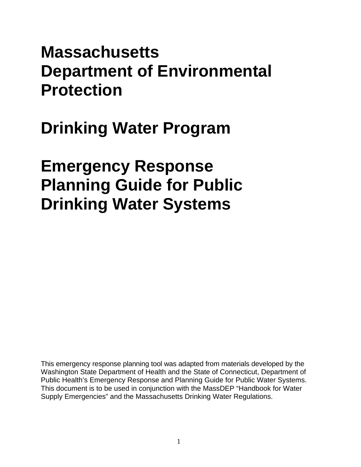# **Massachusetts Department of Environmental Protection**

# **Drinking Water Program**

# **Emergency Response Planning Guide for Public Drinking Water Systems**

This emergency response planning tool was adapted from materials developed by the Washington State Department of Health and the State of Connecticut, Department of Public Health's Emergency Response and Planning Guide for Public Water Systems. This document is to be used in conjunction with the MassDEP "Handbook for Water Supply Emergencies" and the Massachusetts Drinking Water Regulations.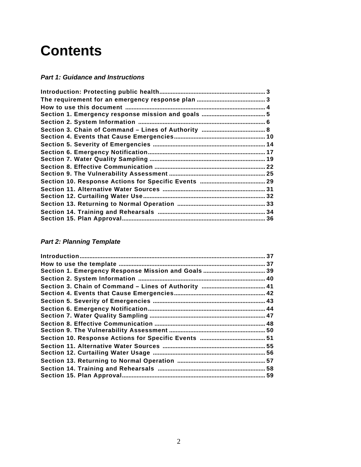# **Contents**

#### *Part 1: Guidance and Instructions*

# *Part 2: Planning Template*

| 37 |
|----|
|    |
|    |
|    |
|    |
|    |
|    |
|    |
|    |
|    |
|    |
|    |
|    |
|    |
|    |
|    |
|    |
|    |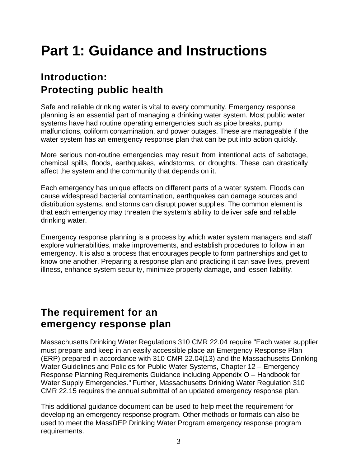# **Part 1: Guidance and Instructions**

# **Introduction: Protecting public health**

Safe and reliable drinking water is vital to every community. Emergency response planning is an essential part of managing a drinking water system. Most public water systems have had routine operating emergencies such as pipe breaks, pump malfunctions, coliform contamination, and power outages. These are manageable if the water system has an emergency response plan that can be put into action quickly.

More serious non-routine emergencies may result from intentional acts of sabotage, chemical spills, floods, earthquakes, windstorms, or droughts. These can drastically affect the system and the community that depends on it.

Each emergency has unique effects on different parts of a water system. Floods can cause widespread bacterial contamination, earthquakes can damage sources and distribution systems, and storms can disrupt power supplies. The common element is that each emergency may threaten the system's ability to deliver safe and reliable drinking water.

Emergency response planning is a process by which water system managers and staff explore vulnerabilities, make improvements, and establish procedures to follow in an emergency. It is also a process that encourages people to form partnerships and get to know one another. Preparing a response plan and practicing it can save lives, prevent illness, enhance system security, minimize property damage, and lessen liability.

# **The requirement for an emergency response plan**

Massachusetts Drinking Water Regulations 310 CMR 22.04 require "Each water supplier must prepare and keep in an easily accessible place an Emergency Response Plan (ERP) prepared in accordance with 310 CMR 22.04(13) and the Massachusetts Drinking Water Guidelines and Policies for Public Water Systems, Chapter 12 – Emergency Response Planning Requirements Guidance including Appendix O – Handbook for Water Supply Emergencies." Further, Massachusetts Drinking Water Regulation 310 CMR 22.15 requires the annual submittal of an updated emergency response plan.

This additional guidance document can be used to help meet the requirement for developing an emergency response program. Other methods or formats can also be used to meet the MassDEP Drinking Water Program emergency response program requirements.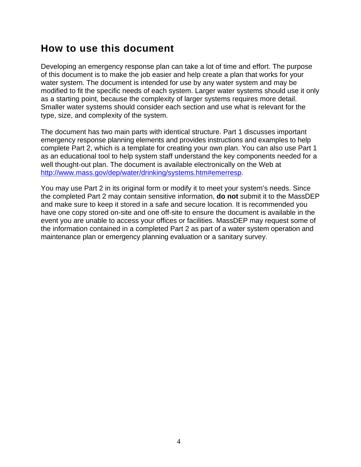# **How to use this document**

Developing an emergency response plan can take a lot of time and effort. The purpose of this document is to make the job easier and help create a plan that works for your water system. The document is intended for use by any water system and may be modified to fit the specific needs of each system. Larger water systems should use it only as a starting point, because the complexity of larger systems requires more detail. Smaller water systems should consider each section and use what is relevant for the type, size, and complexity of the system.

The document has two main parts with identical structure. Part 1 discusses important emergency response planning elements and provides instructions and examples to help complete Part 2, which is a template for creating your own plan. You can also use Part 1 as an educational tool to help system staff understand the key components needed for a well thought-out plan. The document is available electronically on the Web at http://www.mass.gov/dep/water/drinking/systems.htm#emerresp.

You may use Part 2 in its original form or modify it to meet your system's needs. Since the completed Part 2 may contain sensitive information, **do not** submit it to the MassDEP and make sure to keep it stored in a safe and secure location. It is recommended you have one copy stored on-site and one off-site to ensure the document is available in the event you are unable to access your offices or facilities. MassDEP may request some of the information contained in a completed Part 2 as part of a water system operation and maintenance plan or emergency planning evaluation or a sanitary survey.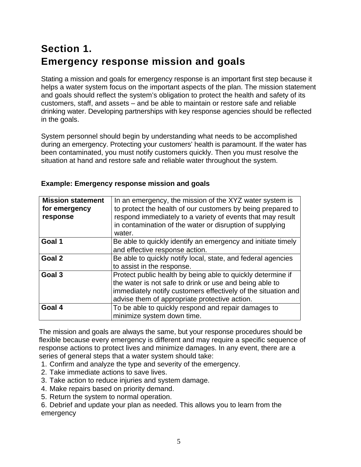# **Section 1. Emergency response mission and goals**

Stating a mission and goals for emergency response is an important first step because it helps a water system focus on the important aspects of the plan. The mission statement and goals should reflect the system's obligation to protect the health and safety of its customers, staff, and assets – and be able to maintain or restore safe and reliable drinking water. Developing partnerships with key response agencies should be reflected in the goals.

System personnel should begin by understanding what needs to be accomplished during an emergency. Protecting your customers' health is paramount. If the water has been contaminated, you must notify customers quickly. Then you must resolve the situation at hand and restore safe and reliable water throughout the system.

| <b>Mission statement</b> | In an emergency, the mission of the XYZ water system is       |
|--------------------------|---------------------------------------------------------------|
| for emergency            | to protect the health of our customers by being prepared to   |
|                          | respond immediately to a variety of events that may result    |
| response                 |                                                               |
|                          | in contamination of the water or disruption of supplying      |
|                          | water.                                                        |
| Goal 1                   | Be able to quickly identify an emergency and initiate timely  |
|                          | and effective response action.                                |
| Goal 2                   | Be able to quickly notify local, state, and federal agencies  |
|                          | to assist in the response.                                    |
| Goal 3                   | Protect public health by being able to quickly determine if   |
|                          | the water is not safe to drink or use and being able to       |
|                          | immediately notify customers effectively of the situation and |
|                          | advise them of appropriate protective action.                 |
| Goal 4                   | To be able to quickly respond and repair damages to           |
|                          | minimize system down time.                                    |

## **Example: Emergency response mission and goals**

The mission and goals are always the same, but your response procedures should be flexible because every emergency is different and may require a specific sequence of response actions to protect lives and minimize damages. In any event, there are a series of general steps that a water system should take:

- 1. Confirm and analyze the type and severity of the emergency.
- 2. Take immediate actions to save lives.
- 3. Take action to reduce injuries and system damage.
- 4. Make repairs based on priority demand.
- 5. Return the system to normal operation.

6. Debrief and update your plan as needed. This allows you to learn from the emergency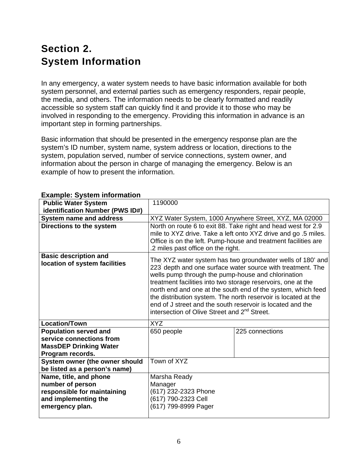# **Section 2. System Information**

In any emergency, a water system needs to have basic information available for both system personnel, and external parties such as emergency responders, repair people, the media, and others. The information needs to be clearly formatted and readily accessible so system staff can quickly find it and provide it to those who may be involved in responding to the emergency. Providing this information in advance is an important step in forming partnerships.

Basic information that should be presented in the emergency response plan are the system's ID number, system name, system address or location, directions to the system, population served, number of service connections, system owner, and information about the person in charge of managing the emergency. Below is an example of how to present the information.

|                                                               | 1190000                                                                                                                                                                                                                                                                                                                                                                                                                                                                                                    |                                                                                                                                                                                                   |
|---------------------------------------------------------------|------------------------------------------------------------------------------------------------------------------------------------------------------------------------------------------------------------------------------------------------------------------------------------------------------------------------------------------------------------------------------------------------------------------------------------------------------------------------------------------------------------|---------------------------------------------------------------------------------------------------------------------------------------------------------------------------------------------------|
| <b>Public Water System</b>                                    |                                                                                                                                                                                                                                                                                                                                                                                                                                                                                                            |                                                                                                                                                                                                   |
| identification Number (PWS ID#)                               |                                                                                                                                                                                                                                                                                                                                                                                                                                                                                                            |                                                                                                                                                                                                   |
| <b>System name and address</b>                                |                                                                                                                                                                                                                                                                                                                                                                                                                                                                                                            | XYZ Water System, 1000 Anywhere Street, XYZ, MA 02000                                                                                                                                             |
| Directions to the system                                      | .2 miles past office on the right.                                                                                                                                                                                                                                                                                                                                                                                                                                                                         | North on route 6 to exit 88. Take right and head west for 2.9<br>mile to XYZ drive. Take a left onto XYZ drive and go .5 miles.<br>Office is on the left. Pump-house and treatment facilities are |
| <b>Basic description and</b><br>location of system facilities | The XYZ water system has two groundwater wells of 180' and<br>223 depth and one surface water source with treatment. The<br>wells pump through the pump-house and chlorination<br>treatment facilities into two storage reservoirs, one at the<br>north end and one at the south end of the system, which feed<br>the distribution system. The north reservoir is located at the<br>end of J street and the south reservoir is located and the<br>intersection of Olive Street and 2 <sup>nd</sup> Street. |                                                                                                                                                                                                   |
| Location/Town                                                 | <b>XYZ</b>                                                                                                                                                                                                                                                                                                                                                                                                                                                                                                 |                                                                                                                                                                                                   |
| <b>Population served and</b>                                  | 650 people                                                                                                                                                                                                                                                                                                                                                                                                                                                                                                 | 225 connections                                                                                                                                                                                   |
| service connections from                                      |                                                                                                                                                                                                                                                                                                                                                                                                                                                                                                            |                                                                                                                                                                                                   |
| <b>MassDEP Drinking Water</b>                                 |                                                                                                                                                                                                                                                                                                                                                                                                                                                                                                            |                                                                                                                                                                                                   |
| Program records.                                              |                                                                                                                                                                                                                                                                                                                                                                                                                                                                                                            |                                                                                                                                                                                                   |
| System owner (the owner should                                | Town of XYZ                                                                                                                                                                                                                                                                                                                                                                                                                                                                                                |                                                                                                                                                                                                   |
| be listed as a person's name)                                 |                                                                                                                                                                                                                                                                                                                                                                                                                                                                                                            |                                                                                                                                                                                                   |
| Name, title, and phone                                        | Marsha Ready                                                                                                                                                                                                                                                                                                                                                                                                                                                                                               |                                                                                                                                                                                                   |
| number of person                                              | Manager                                                                                                                                                                                                                                                                                                                                                                                                                                                                                                    |                                                                                                                                                                                                   |
| responsible for maintaining                                   | (617) 232-2323 Phone                                                                                                                                                                                                                                                                                                                                                                                                                                                                                       |                                                                                                                                                                                                   |
| and implementing the                                          | (617) 790-2323 Cell                                                                                                                                                                                                                                                                                                                                                                                                                                                                                        |                                                                                                                                                                                                   |
| emergency plan.                                               | (617) 799-8999 Pager                                                                                                                                                                                                                                                                                                                                                                                                                                                                                       |                                                                                                                                                                                                   |
|                                                               |                                                                                                                                                                                                                                                                                                                                                                                                                                                                                                            |                                                                                                                                                                                                   |

## **Example: System information**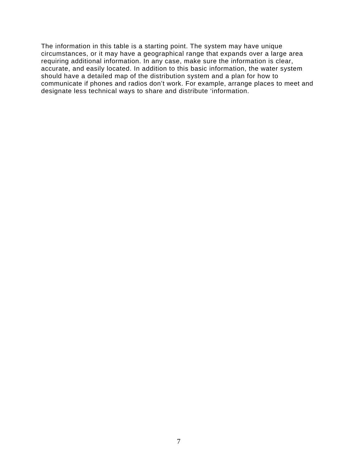The information in this table is a starting point. The system may have unique circumstances, or it may have a geographical range that expands over a large area requiring additional information. In any case, make sure the information is clear, accurate, and easily located. In addition to this basic information, the water system should have a detailed map of the distribution system and a plan for how to communicate if phones and radios don't work. For example, arrange places to meet and designate less technical ways to share and distribute 'information.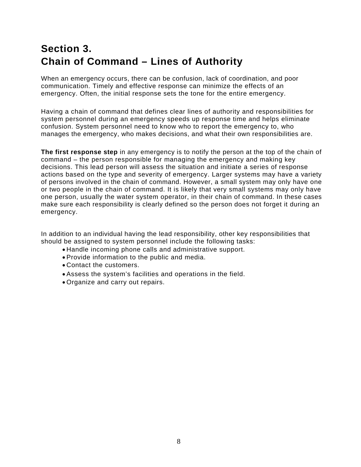# **Section 3. Chain of Command – Lines of Authority**

When an emergency occurs, there can be confusion, lack of coordination, and poor communication. Timely and effective response can minimize the effects of an emergency. Often, the initial response sets the tone for the entire emergency.

Having a chain of command that defines clear lines of authority and responsibilities for system personnel during an emergency speeds up response time and helps eliminate confusion. System personnel need to know who to report the emergency to, who manages the emergency, who makes decisions, and what their own responsibilities are.

**The first response step** in any emergency is to notify the person at the top of the chain of command – the person responsible for managing the emergency and making key decisions. This lead person will assess the situation and initiate a series of response actions based on the type and severity of emergency. Larger systems may have a variety of persons involved in the chain of command. However, a small system may only have one or two people in the chain of command. It is likely that very small systems may only have one person, usually the water system operator, in their chain of command. In these cases make sure each responsibility is clearly defined so the person does not forget it during an emergency.

In addition to an individual having the lead responsibility, other key responsibilities that should be assigned to system personnel include the following tasks:

- Handle incoming phone calls and administrative support.
- Provide information to the public and media.
- Contact the customers.
- Assess the system's facilities and operations in the field.
- Organize and carry out repairs.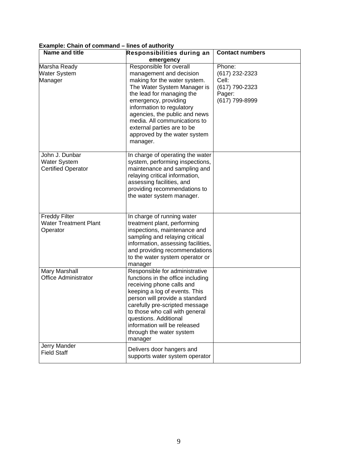#### **Example: Chain of command – lines of authority**

| Name and title                                                     | Responsibilities during an<br>emergency                                                                                                                                                                                                                                                                                                        | <b>Contact numbers</b>                                                          |
|--------------------------------------------------------------------|------------------------------------------------------------------------------------------------------------------------------------------------------------------------------------------------------------------------------------------------------------------------------------------------------------------------------------------------|---------------------------------------------------------------------------------|
| Marsha Ready<br><b>Water System</b><br>Manager                     | Responsible for overall<br>management and decision<br>making for the water system.<br>The Water System Manager is<br>the lead for managing the<br>emergency, providing<br>information to regulatory<br>agencies, the public and news<br>media. All communications to<br>external parties are to be<br>approved by the water system<br>manager. | Phone:<br>(617) 232-2323<br>Cell:<br>(617) 790-2323<br>Pager:<br>(617) 799-8999 |
| John J. Dunbar<br><b>Water System</b><br><b>Certified Operator</b> | In charge of operating the water<br>system, performing inspections,<br>maintenance and sampling and<br>relaying critical information,<br>assessing facilities, and<br>providing recommendations to<br>the water system manager.                                                                                                                |                                                                                 |
| <b>Freddy Filter</b><br><b>Water Treatment Plant</b><br>Operator   | In charge of running water<br>treatment plant, performing<br>inspections, maintenance and<br>sampling and relaying critical<br>information, assessing facilities,<br>and providing recommendations<br>to the water system operator or<br>manager                                                                                               |                                                                                 |
| Mary Marshall<br><b>Office Administrator</b>                       | Responsible for administrative<br>functions in the office including<br>receiving phone calls and<br>keeping a log of events. This<br>person will provide a standard<br>carefully pre-scripted message<br>to those who call with general<br>questions. Additional<br>information will be released<br>through the water system<br>manager        |                                                                                 |
| Jerry Mander<br><b>Field Staff</b>                                 | Delivers door hangers and<br>supports water system operator                                                                                                                                                                                                                                                                                    |                                                                                 |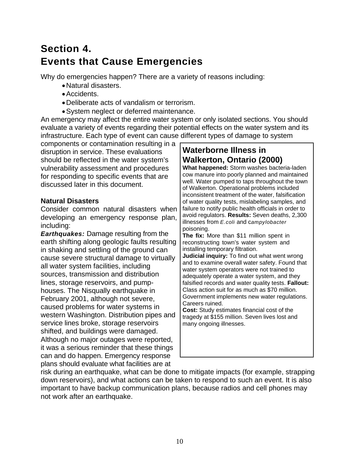# **Section 4. Events that Cause Emergencies**

Why do emergencies happen? There are a variety of reasons including:

- Natural disasters.
- Accidents.
- Deliberate acts of vandalism or terrorism.
- System neglect or deferred maintenance.

An emergency may affect the entire water system or only isolated sections. You should evaluate a variety of events regarding their potential effects on the water system and its infrastructure. Each type of event can cause different types of damage to system

components or contamination resulting in a disruption in service. These evaluations should be reflected in the water system's vulnerability assessment and procedures for responding to specific events that are discussed later in this document.

## **Natural Disasters**

Consider common natural disasters when developing an emergency response plan, including:

*Earthquakes:* Damage resulting from the earth shifting along geologic faults resulting in shaking and settling of the ground can cause severe structural damage to virtually all water system facilities, including sources, transmission and distribution lines, storage reservoirs, and pumphouses. The Nisqually earthquake in February 2001, although not severe, caused problems for water systems in western Washington. Distribution pipes and service lines broke, storage reservoirs shifted, and buildings were damaged. Although no major outages were reported, it was a serious reminder that these things can and do happen. Emergency response plans should evaluate what facilities are at

# **Waterborne Illness in Walkerton, Ontario (2000)**

**What happened:** Storm washes bacteria-laden cow manure into poorly planned and maintained well. Water pumped to taps throughout the town of Walkerton. Operational problems included inconsistent treatment of the water, falsification of water quality tests, mislabeling samples, and failure to notify public health officials in order to avoid regulators. **Results:** Seven deaths, 2,300 illnesses from *E.coli* and c*ampylobacter*  poisoning.

**The fix:** More than \$11 million spent in reconstructing town's water system and installing temporary filtration.

**Judicial inquiry:** To find out what went wrong and to examine overall water safety. Found that water system operators were not trained to adequately operate a water system, and they falsified records and water quality tests. **Fallout:**  Class action suit for as much as \$70 million. Government implements new water regulations. Careers ruined.

**Cost:** Study estimates financial cost of the tragedy at \$155 million. Seven lives lost and many ongoing illnesses.

risk during an earthquake, what can be done to mitigate impacts (for example, strapping down reservoirs), and what actions can be taken to respond to such an event. It is also important to have backup communication plans, because radios and cell phones may not work after an earthquake.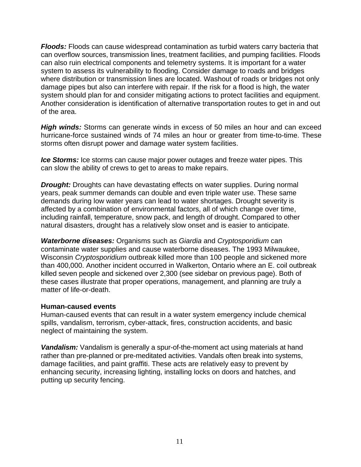*Floods:* Floods can cause widespread contamination as turbid waters carry bacteria that can overflow sources, transmission lines, treatment facilities, and pumping facilities. Floods can also ruin electrical components and telemetry systems. It is important for a water system to assess its vulnerability to flooding. Consider damage to roads and bridges where distribution or transmission lines are located. Washout of roads or bridges not only damage pipes but also can interfere with repair. If the risk for a flood is high, the water system should plan for and consider mitigating actions to protect facilities and equipment. Another consideration is identification of alternative transportation routes to get in and out of the area.

*High winds:* Storms can generate winds in excess of 50 miles an hour and can exceed hurricane-force sustained winds of 74 miles an hour or greater from time-to-time. These storms often disrupt power and damage water system facilities.

*Ice Storms:* Ice storms can cause major power outages and freeze water pipes. This can slow the ability of crews to get to areas to make repairs.

*Drought:* Droughts can have devastating effects on water supplies. During normal years, peak summer demands can double and even triple water use. These same demands during low water years can lead to water shortages. Drought severity is affected by a combination of environmental factors, all of which change over time, including rainfall, temperature, snow pack, and length of drought. Compared to other natural disasters, drought has a relatively slow onset and is easier to anticipate.

*Waterborne diseases:* Organisms such as *Giardia* and *Cryptosporidium* can contaminate water supplies and cause waterborne diseases. The 1993 Milwaukee, Wisconsin *Cryptosporidium* outbreak killed more than 100 people and sickened more than 400,000. Another incident occurred in Walkerton, Ontario where an E. coil outbreak killed seven people and sickened over 2,300 (see sidebar on previous page). Both of these cases illustrate that proper operations, management, and planning are truly a matter of life-or-death.

## **Human-caused events**

Human-caused events that can result in a water system emergency include chemical spills, vandalism, terrorism, cyber-attack, fires, construction accidents, and basic neglect of maintaining the system.

*Vandalism:* Vandalism is generally a spur-of-the-moment act using materials at hand rather than pre-planned or pre-meditated activities. Vandals often break into systems, damage facilities, and paint graffiti. These acts are relatively easy to prevent by enhancing security, increasing lighting, installing locks on doors and hatches, and putting up security fencing.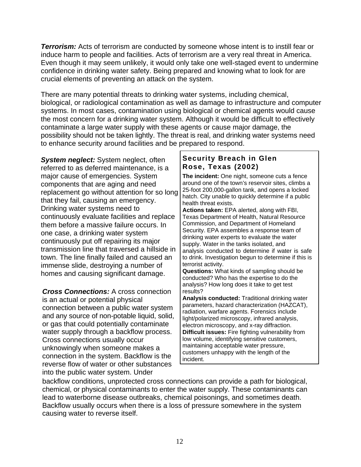*Terrorism:* Acts of terrorism are conducted by someone whose intent is to instill fear or induce harm to people and facilities. Acts of terrorism are a very real threat in America. Even though it may seem unlikely, it would only take one well-staged event to undermine confidence in drinking water safety. Being prepared and knowing what to look for are crucial elements of preventing an attack on the system.

There are many potential threats to drinking water systems, including chemical, biological, or radiological contamination as well as damage to infrastructure and computer systems. In most cases, contamination using biological or chemical agents would cause the most concern for a drinking water system. Although it would be difficult to effectively contaminate a large water supply with these agents or cause major damage, the possibility should not be taken lightly. The threat is real, and drinking water systems need to enhance security around facilities and be prepared to respond.

*System neglect:* System neglect, often referred to as deferred maintenance, is a major cause of emergencies. System components that are aging and need replacement go without attention for so long that they fail, causing an emergency. Drinking water systems need to continuously evaluate facilities and replace them before a massive failure occurs. In one case, a drinking water system continuously put off repairing its major transmission line that traversed a hillside in town. The line finally failed and caused an immense slide, destroying a number of homes and causing significant damage.

*Cross Connections:* A cross connection is an actual or potential physical connection between a public water system and any source of non-potable liquid, solid, or gas that could potentially contaminate water supply through a backflow process. Cross connections usually occur unknowingly when someone makes a connection in the system. Backflow is the reverse flow of water or other substances into the public water system. Under

## **Security Breach in Glen Rose, Texas (2002)**

**The incident:** One night, someone cuts a fence around one of the town's reservoir sites, climbs a 25-foot 200,000-gallon tank, and opens a locked hatch. City unable to quickly determine if a public health threat exists.

**Actions taken:** EPA alerted, along with FBI, Texas Department of Health, Natural Resource Commission, and Department of Homeland Security. EPA assembles a response team of drinking water experts to evaluate the water supply. Water in the tanks isolated, and analysis conducted to determine if water is safe to drink. Investigation begun to determine if this is terrorist activity.

**Questions:** What kinds of sampling should be conducted? Who has the expertise to do the analysis? How long does it take to get test results?

**Analysis conducted:** Traditional drinking water parameters, hazard characterization (HAZCAT), radiation, warfare agents. Forensics include light/polarized microscopy, infrared analysis, electron microscopy, and x-ray diffraction. **Difficult issues:** Fire fighting vulnerability from low volume, identifying sensitive customers, maintaining acceptable water pressure, customers unhappy with the length of the incident.

backflow conditions, unprotected cross connections can provide a path for biological, chemical, or physical contaminants to enter the water supply. These contaminants can lead to waterborne disease outbreaks, chemical poisonings, and sometimes death. Backflow usually occurs when there is a loss of pressure somewhere in the system causing water to reverse itself.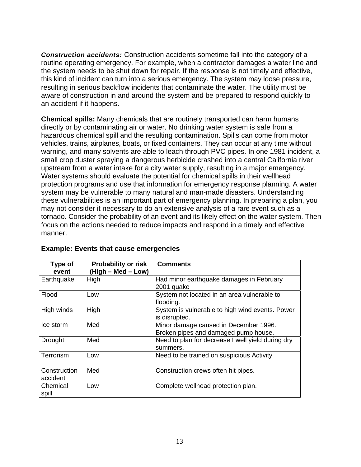*Construction accidents:* Construction accidents sometime fall into the category of a routine operating emergency. For example, when a contractor damages a water line and the system needs to be shut down for repair. If the response is not timely and effective, this kind of incident can turn into a serious emergency. The system may loose pressure, resulting in serious backflow incidents that contaminate the water. The utility must be aware of construction in and around the system and be prepared to respond quickly to an accident if it happens.

**Chemical spills:** Many chemicals that are routinely transported can harm humans directly or by contaminating air or water. No drinking water system is safe from a hazardous chemical spill and the resulting contamination. Spills can come from motor vehicles, trains, airplanes, boats, or fixed containers. They can occur at any time without warning, and many solvents are able to leach through PVC pipes. In one 1981 incident, a small crop duster spraying a dangerous herbicide crashed into a central California river upstream from a water intake for a city water supply, resulting in a major emergency. Water systems should evaluate the potential for chemical spills in their wellhead protection programs and use that information for emergency response planning. A water system may be vulnerable to many natural and man-made disasters. Understanding these vulnerabilities is an important part of emergency planning. In preparing a plan, you may not consider it necessary to do an extensive analysis of a rare event such as a tornado. Consider the probability of an event and its likely effect on the water system. Then focus on the actions needed to reduce impacts and respond in a timely and effective manner.

| Type of<br>event         | <b>Probability or risk</b><br>(High - Med - Low) | <b>Comments</b>                                                  |
|--------------------------|--------------------------------------------------|------------------------------------------------------------------|
| Earthquake               | High                                             | Had minor earthquake damages in February                         |
|                          |                                                  | 2001 quake                                                       |
| Flood                    | Low                                              | System not located in an area vulnerable to<br>flooding.         |
| High winds               | High                                             | System is vulnerable to high wind events. Power<br>is disrupted. |
| Ice storm                | Med                                              | Minor damage caused in December 1996.                            |
|                          |                                                  | Broken pipes and damaged pump house.                             |
| <b>Drought</b>           | Med                                              | Need to plan for decrease I well yield during dry<br>summers.    |
| Terrorism                | Low                                              | Need to be trained on suspicious Activity                        |
| Construction<br>accident | Med                                              | Construction crews often hit pipes.                              |
| Chemical<br>spill        | Low                                              | Complete wellhead protection plan.                               |

## **Example: Events that cause emergencies**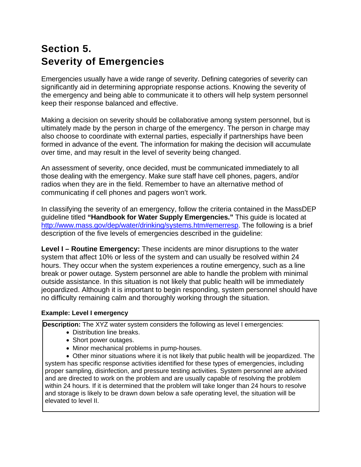# **Section 5. Severity of Emergencies**

Emergencies usually have a wide range of severity. Defining categories of severity can significantly aid in determining appropriate response actions. Knowing the severity of the emergency and being able to communicate it to others will help system personnel keep their response balanced and effective.

Making a decision on severity should be collaborative among system personnel, but is ultimately made by the person in charge of the emergency. The person in charge may also choose to coordinate with external parties, especially if partnerships have been formed in advance of the event. The information for making the decision will accumulate over time, and may result in the level of severity being changed.

An assessment of severity, once decided, must be communicated immediately to all those dealing with the emergency. Make sure staff have cell phones, pagers, and/or radios when they are in the field. Remember to have an alternative method of communicating if cell phones and pagers won't work.

In classifying the severity of an emergency, follow the criteria contained in the MassDEP guideline titled **"Handbook for Water Supply Emergencies."** This guide is located at http://www.mass.gov/dep/water/drinking/systems.htm#emerresp. The following is a brief description of the five levels of emergencies described in the guideline:

**Level I – Routine Emergency:** These incidents are minor disruptions to the water system that affect 10% or less of the system and can usually be resolved within 24 hours. They occur when the system experiences a routine emergency, such as a line break or power outage. System personnel are able to handle the problem with minimal outside assistance. In this situation is not likely that public health will be immediately jeopardized. Although it is important to begin responding, system personnel should have no difficulty remaining calm and thoroughly working through the situation.

#### **Example: Level I emergency**

**Description:** The XYZ water system considers the following as level I emergencies:

- Distribution line breaks.
- Short power outages.
- Minor mechanical problems in pump-houses.

• Other minor situations where it is not likely that public health will be jeopardized. The system has specific response activities identified for these types of emergencies, including proper sampling, disinfection, and pressure testing activities. System personnel are advised and are directed to work on the problem and are usually capable of resolving the problem within 24 hours. If it is determined that the problem will take longer than 24 hours to resolve and storage is likely to be drawn down below a safe operating level, the situation will be elevated to level II.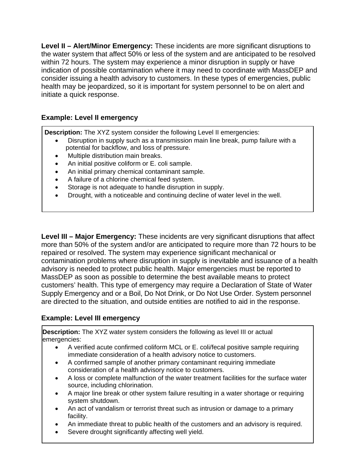**Level II – Alert/Minor Emergency:** These incidents are more significant disruptions to the water system that affect 50% or less of the system and are anticipated to be resolved within 72 hours. The system may experience a minor disruption in supply or have indication of possible contamination where it may need to coordinate with MassDEP and consider issuing a health advisory to customers. In these types of emergencies, public health may be jeopardized, so it is important for system personnel to be on alert and initiate a quick response.

## **Example: Level II emergency**

**Description:** The XYZ system consider the following Level II emergencies:

- Disruption in supply such as a transmission main line break, pump failure with a potential for backflow, and loss of pressure.
- Multiple distribution main breaks.
- An initial positive coliform or E. coli sample.
- An initial primary chemical contaminant sample.
- A failure of a chlorine chemical feed system.
- Storage is not adequate to handle disruption in supply.
- Drought, with a noticeable and continuing decline of water level in the well.

**Level III – Major Emergency:** These incidents are very significant disruptions that affect more than 50% of the system and/or are anticipated to require more than 72 hours to be repaired or resolved. The system may experience significant mechanical or contamination problems where disruption in supply is inevitable and issuance of a health advisory is needed to protect public health. Major emergencies must be reported to MassDEP as soon as possible to determine the best available means to protect customers' health. This type of emergency may require a Declaration of State of Water Supply Emergency and or a Boil, Do Not Drink, or Do Not Use Order. System personnel are directed to the situation, and outside entities are notified to aid in the response.

## **Example: Level III emergency**

**Description:** The XYZ water system considers the following as level III or actual emergencies:

- A verified acute confirmed coliform MCL or E. coli/fecal positive sample requiring immediate consideration of a health advisory notice to customers.
- A confirmed sample of another primary contaminant requiring immediate consideration of a health advisory notice to customers.
- A loss or complete malfunction of the water treatment facilities for the surface water source, including chlorination.
- A major line break or other system failure resulting in a water shortage or requiring system shutdown.
- An act of vandalism or terrorist threat such as intrusion or damage to a primary facility.
- An immediate threat to public health of the customers and an advisory is required.
- Severe drought significantly affecting well yield.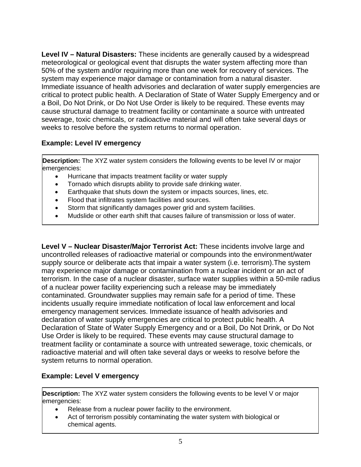**Level IV – Natural Disasters:** These incidents are generally caused by a widespread meteorological or geological event that disrupts the water system affecting more than 50% of the system and/or requiring more than one week for recovery of services. The system may experience major damage or contamination from a natural disaster. Immediate issuance of health advisories and declaration of water supply emergencies are critical to protect public health. A Declaration of State of Water Supply Emergency and or a Boil, Do Not Drink, or Do Not Use Order is likely to be required. These events may cause structural damage to treatment facility or contaminate a source with untreated sewerage, toxic chemicals, or radioactive material and will often take several days or weeks to resolve before the system returns to normal operation.

## **Example: Level IV emergency**

**Description:** The XYZ water system considers the following events to be level IV or major emergencies:

- Hurricane that impacts treatment facility or water supply
- Tornado which disrupts ability to provide safe drinking water.
- Earthquake that shuts down the system or impacts sources, lines, etc.
- Flood that infiltrates system facilities and sources.
- Storm that significantly damages power grid and system facilities.
- Mudslide or other earth shift that causes failure of transmission or loss of water.

**Level V – Nuclear Disaster/Major Terrorist Act:** These incidents involve large and uncontrolled releases of radioactive material or compounds into the environment/water supply source or deliberate acts that impair a water system (i.e. terrorism).The system may experience major damage or contamination from a nuclear incident or an act of terrorism. In the case of a nuclear disaster, surface water supplies within a 50-mile radius of a nuclear power facility experiencing such a release may be immediately contaminated. Groundwater supplies may remain safe for a period of time. These incidents usually require immediate notification of local law enforcement and local emergency management services. Immediate issuance of health advisories and declaration of water supply emergencies are critical to protect public health. A Declaration of State of Water Supply Emergency and or a Boil, Do Not Drink, or Do Not Use Order is likely to be required. These events may cause structural damage to treatment facility or contaminate a source with untreated sewerage, toxic chemicals, or radioactive material and will often take several days or weeks to resolve before the system returns to normal operation.

## **Example: Level V emergency**

**Description:** The XYZ water system considers the following events to be level V or major emergencies:

- Release from a nuclear power facility to the environment.
- Act of terrorism possibly contaminating the water system with biological or chemical agents.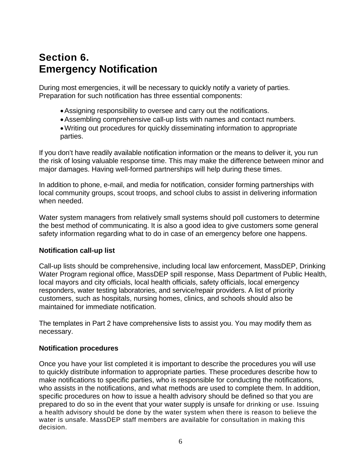# **Section 6. Emergency Notification**

During most emergencies, it will be necessary to quickly notify a variety of parties. Preparation for such notification has three essential components:

- Assigning responsibility to oversee and carry out the notifications.
- Assembling comprehensive call-up lists with names and contact numbers.
- Writing out procedures for quickly disseminating information to appropriate parties.

If you don't have readily available notification information or the means to deliver it, you run the risk of losing valuable response time. This may make the difference between minor and major damages. Having well-formed partnerships will help during these times.

In addition to phone, e-mail, and media for notification, consider forming partnerships with local community groups, scout troops, and school clubs to assist in delivering information when needed.

Water system managers from relatively small systems should poll customers to determine the best method of communicating. It is also a good idea to give customers some general safety information regarding what to do in case of an emergency before one happens.

## **Notification call-up list**

Call-up lists should be comprehensive, including local law enforcement, MassDEP, Drinking Water Program regional office, MassDEP spill response, Mass Department of Public Health, local mayors and city officials, local health officials, safety officials, local emergency responders, water testing laboratories, and service/repair providers. A list of priority customers, such as hospitals, nursing homes, clinics, and schools should also be maintained for immediate notification.

The templates in Part 2 have comprehensive lists to assist you. You may modify them as necessary.

## **Notification procedures**

Once you have your list completed it is important to describe the procedures you will use to quickly distribute information to appropriate parties. These procedures describe how to make notifications to specific parties, who is responsible for conducting the notifications, who assists in the notifications, and what methods are used to complete them. In addition, specific procedures on how to issue a health advisory should be defined so that you are prepared to do so in the event that your water supply is unsafe for drinking or use. Issuing a health advisory should be done by the water system when there is reason to believe the water is unsafe. MassDEP staff members are available for consultation in making this decision.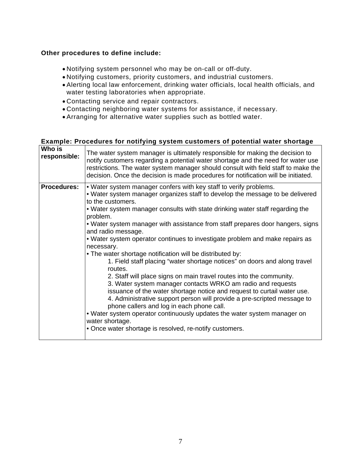#### **Other procedures to define include:**

- Notifying system personnel who may be on-call or off-duty.
- Notifying customers, priority customers, and industrial customers.
- Alerting local law enforcement, drinking water officials, local health officials, and water testing laboratories when appropriate.
- Contacting service and repair contractors.
- Contacting neighboring water systems for assistance, if necessary.
- Arranging for alternative water supplies such as bottled water.

#### **Example: Procedures for notifying system customers of potential water shortage**

| Who is<br>responsible: | The water system manager is ultimately responsible for making the decision to<br>notify customers regarding a potential water shortage and the need for water use<br>restrictions. The water system manager should consult with field staff to make the<br>decision. Once the decision is made procedures for notification will be initiated.                                                                                                                                                                                                                                                                                                                                                                                                                                                                                                                                                                                                                                                                                                                                                                                      |
|------------------------|------------------------------------------------------------------------------------------------------------------------------------------------------------------------------------------------------------------------------------------------------------------------------------------------------------------------------------------------------------------------------------------------------------------------------------------------------------------------------------------------------------------------------------------------------------------------------------------------------------------------------------------------------------------------------------------------------------------------------------------------------------------------------------------------------------------------------------------------------------------------------------------------------------------------------------------------------------------------------------------------------------------------------------------------------------------------------------------------------------------------------------|
| <b>Procedures:</b>     | . Water system manager confers with key staff to verify problems.<br>• Water system manager organizes staff to develop the message to be delivered<br>to the customers.<br>. Water system manager consults with state drinking water staff regarding the<br>problem.<br>• Water system manager with assistance from staff prepares door hangers, signs<br>and radio message.<br>. Water system operator continues to investigate problem and make repairs as<br>necessary.<br>. The water shortage notification will be distributed by:<br>1. Field staff placing "water shortage notices" on doors and along travel<br>routes.<br>2. Staff will place signs on main travel routes into the community.<br>3. Water system manager contacts WRKO am radio and requests<br>issuance of the water shortage notice and request to curtail water use.<br>4. Administrative support person will provide a pre-scripted message to<br>phone callers and log in each phone call.<br>• Water system operator continuously updates the water system manager on<br>water shortage.<br>• Once water shortage is resolved, re-notify customers. |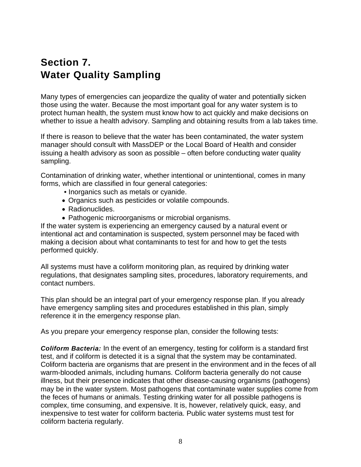# **Section 7. Water Quality Sampling**

Many types of emergencies can jeopardize the quality of water and potentially sicken those using the water. Because the most important goal for any water system is to protect human health, the system must know how to act quickly and make decisions on whether to issue a health advisory. Sampling and obtaining results from a lab takes time.

If there is reason to believe that the water has been contaminated, the water system manager should consult with MassDEP or the Local Board of Health and consider issuing a health advisory as soon as possible – often before conducting water quality sampling.

Contamination of drinking water, whether intentional or unintentional, comes in many forms, which are classified in four general categories:

- Inorganics such as metals or cyanide.
- Organics such as pesticides or volatile compounds.
- Radionuclides.
- Pathogenic microorganisms or microbial organisms.

If the water system is experiencing an emergency caused by a natural event or intentional act and contamination is suspected, system personnel may be faced with making a decision about what contaminants to test for and how to get the tests performed quickly.

All systems must have a coliform monitoring plan, as required by drinking water regulations, that designates sampling sites, procedures, laboratory requirements, and contact numbers.

This plan should be an integral part of your emergency response plan. If you already have emergency sampling sites and procedures established in this plan, simply reference it in the emergency response plan.

As you prepare your emergency response plan, consider the following tests:

*Coliform Bacteria:* In the event of an emergency, testing for coliform is a standard first test, and if coliform is detected it is a signal that the system may be contaminated. Coliform bacteria are organisms that are present in the environment and in the feces of all warm-blooded animals, including humans. Coliform bacteria generally do not cause illness, but their presence indicates that other disease-causing organisms (pathogens) may be in the water system. Most pathogens that contaminate water supplies come from the feces of humans or animals. Testing drinking water for all possible pathogens is complex, time consuming, and expensive. It is, however, relatively quick, easy, and inexpensive to test water for coliform bacteria. Public water systems must test for coliform bacteria regularly.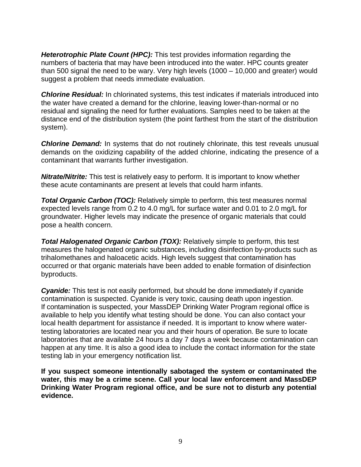*Heterotrophic Plate Count (HPC):* This test provides information regarding the numbers of bacteria that may have been introduced into the water. HPC counts greater than 500 signal the need to be wary. Very high levels (1000 – 10,000 and greater) would suggest a problem that needs immediate evaluation.

*Chlorine Residual:* In chlorinated systems, this test indicates if materials introduced into the water have created a demand for the chlorine, leaving lower-than-normal or no residual and signaling the need for further evaluations. Samples need to be taken at the distance end of the distribution system (the point farthest from the start of the distribution system).

**Chlorine Demand:** In systems that do not routinely chlorinate, this test reveals unusual demands on the oxidizing capability of the added chlorine, indicating the presence of a contaminant that warrants further investigation.

*Nitrate/Nitrite:* This test is relatively easy to perform. It is important to know whether these acute contaminants are present at levels that could harm infants.

*Total Organic Carbon (TOC):* Relatively simple to perform, this test measures normal expected levels range from 0.2 to 4.0 mg/L for surface water and 0.01 to 2.0 mg/L for groundwater. Higher levels may indicate the presence of organic materials that could pose a health concern.

*Total Halogenated Organic Carbon (TOX):* Relatively simple to perform, this test measures the halogenated organic substances, including disinfection by-products such as trihalomethanes and haloacetic acids. High levels suggest that contamination has occurred or that organic materials have been added to enable formation of disinfection byproducts.

*Cyanide:* This test is not easily performed, but should be done immediately if cyanide contamination is suspected. Cyanide is very toxic, causing death upon ingestion. If contamination is suspected, your MassDEP Drinking Water Program regional office is available to help you identify what testing should be done. You can also contact your local health department for assistance if needed. It is important to know where watertesting laboratories are located near you and their hours of operation. Be sure to locate laboratories that are available 24 hours a day 7 days a week because contamination can happen at any time. It is also a good idea to include the contact information for the state testing lab in your emergency notification list.

**If you suspect someone intentionally sabotaged the system or contaminated the water, this may be a crime scene. Call your local law enforcement and MassDEP Drinking Water Program regional office, and be sure not to disturb any potential evidence.**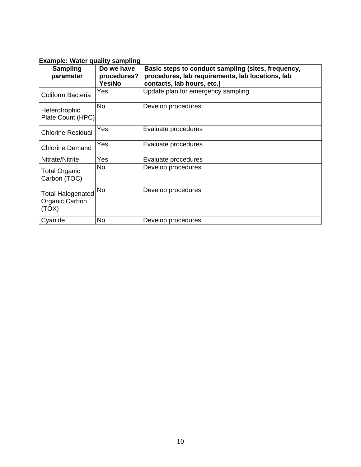## **Example: Water quality sampling**

| <b>Sampling</b><br>parameter                        | Do we have<br>procedures?<br>Yes/No | Basic steps to conduct sampling (sites, frequency,<br>procedures, lab requirements, lab locations, lab<br>contacts, lab hours, etc.) |
|-----------------------------------------------------|-------------------------------------|--------------------------------------------------------------------------------------------------------------------------------------|
| Coliform Bacteria                                   | Yes                                 | Update plan for emergency sampling                                                                                                   |
| Heterotrophic<br>Plate Count (HPC)                  | No.                                 | Develop procedures                                                                                                                   |
| <b>Chlorine Residual</b>                            | Yes                                 | Evaluate procedures                                                                                                                  |
| <b>Chlorine Demand</b>                              | Yes                                 | Evaluate procedures                                                                                                                  |
| Nitrate/Nitrite                                     | Yes                                 | Evaluate procedures                                                                                                                  |
| <b>Total Organic</b><br>Carbon (TOC)                | No                                  | Develop procedures                                                                                                                   |
| <b>Total Halogenated</b><br>Organic Carbon<br>(TOX) | No                                  | Develop procedures                                                                                                                   |
| Cyanide                                             | No                                  | Develop procedures                                                                                                                   |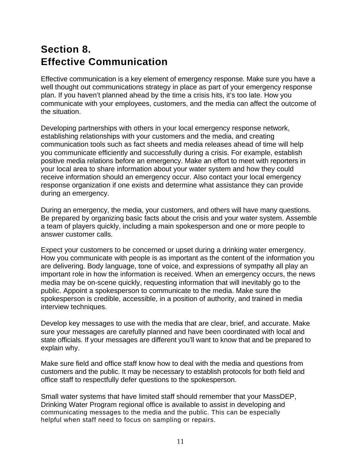# **Section 8. Effective Communication**

Effective communication is a key element of emergency response. Make sure you have a well thought out communications strategy in place as part of your emergency response plan. If you haven't planned ahead by the time a crisis hits, it's too late. How you communicate with your employees, customers, and the media can affect the outcome of the situation.

Developing partnerships with others in your local emergency response network, establishing relationships with your customers and the media, and creating communication tools such as fact sheets and media releases ahead of time will help you communicate efficiently and successfully during a crisis. For example, establish positive media relations before an emergency. Make an effort to meet with reporters in your local area to share information about your water system and how they could receive information should an emergency occur. Also contact your local emergency response organization if one exists and determine what assistance they can provide during an emergency.

During an emergency, the media, your customers, and others will have many questions. Be prepared by organizing basic facts about the crisis and your water system. Assemble a team of players quickly, including a main spokesperson and one or more people to answer customer calls.

Expect your customers to be concerned or upset during a drinking water emergency. How you communicate with people is as important as the content of the information you are delivering. Body language, tone of voice, and expressions of sympathy all play an important role in how the information is received. When an emergency occurs, the news media may be on-scene quickly, requesting information that will inevitably go to the public. Appoint a spokesperson to communicate to the media. Make sure the spokesperson is credible, accessible, in a position of authority, and trained in media interview techniques.

Develop key messages to use with the media that are clear, brief, and accurate. Make sure your messages are carefully planned and have been coordinated with local and state officials. If your messages are different you'll want to know that and be prepared to explain why.

Make sure field and office staff know how to deal with the media and questions from customers and the public. It may be necessary to establish protocols for both field and office staff to respectfully defer questions to the spokesperson.

Small water systems that have limited staff should remember that your MassDEP, Drinking Water Program regional office is available to assist in developing and communicating messages to the media and the public. This can be especially helpful when staff need to focus on sampling or repairs.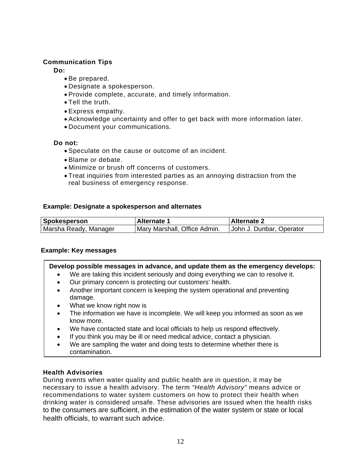### **Communication Tips**

**Do:** 

- Be prepared.
- Designate a spokesperson.
- Provide complete, accurate, and timely information.
- Tell the truth.
- Express empathy.
- Acknowledge uncertainty and offer to get back with more information later.
- Document your communications.

#### **Do not:**

- Speculate on the cause or outcome of an incident.
- Blame or debate.
- Minimize or brush off concerns of customers.
- Treat inquiries from interested parties as an annoying distraction from the real business of emergency response.

#### **Example: Designate a spokesperson and alternates**

| Spokesperson          | Alternate 1                  | <b>Alternate 2</b>       |
|-----------------------|------------------------------|--------------------------|
| Marsha Ready, Manager | Mary Marshall, Office Admin. | John J. Dunbar, Operator |

#### **Example: Key messages**

#### **Develop possible messages in advance, and update them as the emergency develops:**

- We are taking this incident seriously and doing everything we can to resolve it.
- Our primary concern is protecting our customers' health.
- Another important concern is keeping the system operational and preventing damage.
- What we know right now is
- The information we have is incomplete. We will keep you informed as soon as we know more.
- We have contacted state and local officials to help us respond effectively.
- If you think you may be ill or need medical advice, contact a physician.
- We are sampling the water and doing tests to determine whether there is contamination.

#### **Health Advisories**

During events when water quality and public health are in question, it may be necessary to issue a health advisory. The term *"Health Advisory"* means advice or recommendations to water system customers on how to protect their health when drinking water is considered unsafe. These advisories are issued when the health risks to the consumers are sufficient, in the estimation of the water system or state or local health officials, to warrant such advice.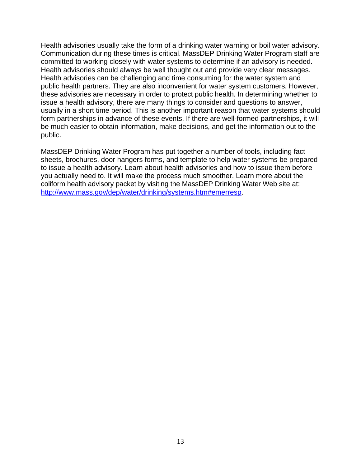Health advisories usually take the form of a drinking water warning or boil water advisory. Communication during these times is critical. MassDEP Drinking Water Program staff are committed to working closely with water systems to determine if an advisory is needed. Health advisories should always be well thought out and provide very clear messages. Health advisories can be challenging and time consuming for the water system and public health partners. They are also inconvenient for water system customers. However, these advisories are necessary in order to protect public health. In determining whether to issue a health advisory, there are many things to consider and questions to answer, usually in a short time period. This is another important reason that water systems should form partnerships in advance of these events. If there are well-formed partnerships, it will be much easier to obtain information, make decisions, and get the information out to the public.

MassDEP Drinking Water Program has put together a number of tools, including fact sheets, brochures, door hangers forms, and template to help water systems be prepared to issue a health advisory. Learn about health advisories and how to issue them before you actually need to. It will make the process much smoother. Learn more about the coliform health advisory packet by visiting the MassDEP Drinking Water Web site at: http://www.mass.gov/dep/water/drinking/systems.htm#emerresp.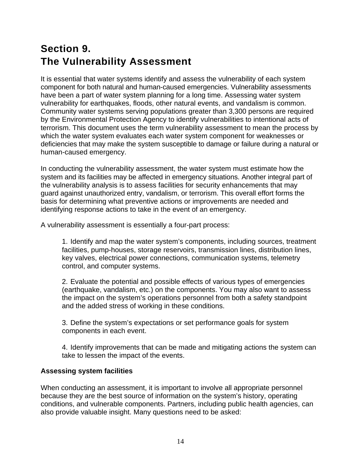# **Section 9. The Vulnerability Assessment**

It is essential that water systems identify and assess the vulnerability of each system component for both natural and human-caused emergencies. Vulnerability assessments have been a part of water system planning for a long time. Assessing water system vulnerability for earthquakes, floods, other natural events, and vandalism is common. Community water systems serving populations greater than 3,300 persons are required by the Environmental Protection Agency to identify vulnerabilities to intentional acts of terrorism. This document uses the term vulnerability assessment to mean the process by which the water system evaluates each water system component for weaknesses or deficiencies that may make the system susceptible to damage or failure during a natural or human-caused emergency.

In conducting the vulnerability assessment, the water system must estimate how the system and its facilities may be affected in emergency situations. Another integral part of the vulnerability analysis is to assess facilities for security enhancements that may guard against unauthorized entry, vandalism, or terrorism. This overall effort forms the basis for determining what preventive actions or improvements are needed and identifying response actions to take in the event of an emergency.

A vulnerability assessment is essentially a four-part process:

1. Identify and map the water system's components, including sources, treatment facilities, pump-houses, storage reservoirs, transmission lines, distribution lines, key valves, electrical power connections, communication systems, telemetry control, and computer systems.

2. Evaluate the potential and possible effects of various types of emergencies (earthquake, vandalism, etc.) on the components. You may also want to assess the impact on the system's operations personnel from both a safety standpoint and the added stress of working in these conditions.

3. Define the system's expectations or set performance goals for system components in each event.

4. Identify improvements that can be made and mitigating actions the system can take to lessen the impact of the events.

## **Assessing system facilities**

When conducting an assessment, it is important to involve all appropriate personnel because they are the best source of information on the system's history, operating conditions, and vulnerable components. Partners, including public health agencies, can also provide valuable insight. Many questions need to be asked: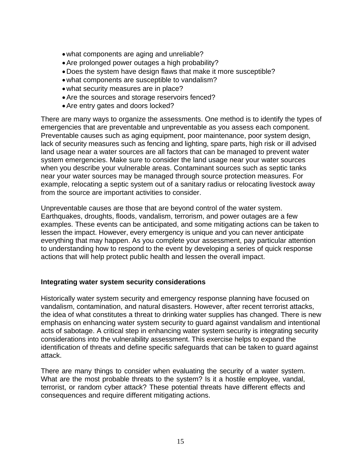- what components are aging and unreliable?
- Are prolonged power outages a high probability?
- Does the system have design flaws that make it more susceptible?
- what components are susceptible to vandalism?
- what security measures are in place?
- Are the sources and storage reservoirs fenced?
- Are entry gates and doors locked?

There are many ways to organize the assessments. One method is to identify the types of emergencies that are preventable and unpreventable as you assess each component. Preventable causes such as aging equipment, poor maintenance, poor system design, lack of security measures such as fencing and lighting, spare parts, high risk or ill advised land usage near a water sources are all factors that can be managed to prevent water system emergencies. Make sure to consider the land usage near your water sources when you describe your vulnerable areas. Contaminant sources such as septic tanks near your water sources may be managed through source protection measures. For example, relocating a septic system out of a sanitary radius or relocating livestock away from the source are important activities to consider.

Unpreventable causes are those that are beyond control of the water system. Earthquakes, droughts, floods, vandalism, terrorism, and power outages are a few examples. These events can be anticipated, and some mitigating actions can be taken to lessen the impact. However, every emergency is unique and you can never anticipate everything that may happen. As you complete your assessment, pay particular attention to understanding how to respond to the event by developing a series of quick response actions that will help protect public health and lessen the overall impact.

#### **Integrating water system security considerations**

Historically water system security and emergency response planning have focused on vandalism, contamination, and natural disasters. However, after recent terrorist attacks, the idea of what constitutes a threat to drinking water supplies has changed. There is new emphasis on enhancing water system security to guard against vandalism and intentional acts of sabotage. A critical step in enhancing water system security is integrating security considerations into the vulnerability assessment. This exercise helps to expand the identification of threats and define specific safeguards that can be taken to guard against attack.

There are many things to consider when evaluating the security of a water system. What are the most probable threats to the system? Is it a hostile employee, vandal, terrorist, or random cyber attack? These potential threats have different effects and consequences and require different mitigating actions.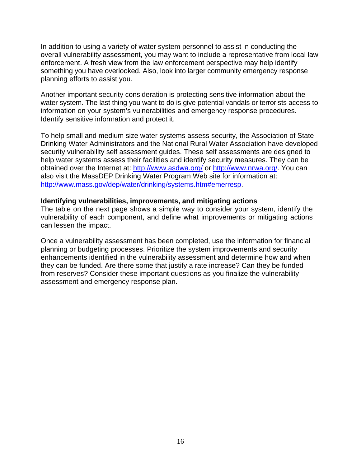In addition to using a variety of water system personnel to assist in conducting the overall vulnerability assessment, you may want to include a representative from local law enforcement. A fresh view from the law enforcement perspective may help identify something you have overlooked. Also, look into larger community emergency response planning efforts to assist you.

Another important security consideration is protecting sensitive information about the water system. The last thing you want to do is give potential vandals or terrorists access to information on your system's vulnerabilities and emergency response procedures. Identify sensitive information and protect it.

To help small and medium size water systems assess security, the Association of State Drinking Water Administrators and the National Rural Water Association have developed security vulnerability self assessment guides. These self assessments are designed to help water systems assess their facilities and identify security measures. They can be obtained over the Internet at: http://www.asdwa.org/ or http://www.nrwa.org/. You can also visit the MassDEP Drinking Water Program Web site for information at: http://www.mass.gov/dep/water/drinking/systems.htm#emerresp.

#### **Identifying vulnerabilities, improvements, and mitigating actions**

The table on the next page shows a simple way to consider your system, identify the vulnerability of each component, and define what improvements or mitigating actions can lessen the impact.

Once a vulnerability assessment has been completed, use the information for financial planning or budgeting processes. Prioritize the system improvements and security enhancements identified in the vulnerability assessment and determine how and when they can be funded. Are there some that justify a rate increase? Can they be funded from reserves? Consider these important questions as you finalize the vulnerability assessment and emergency response plan.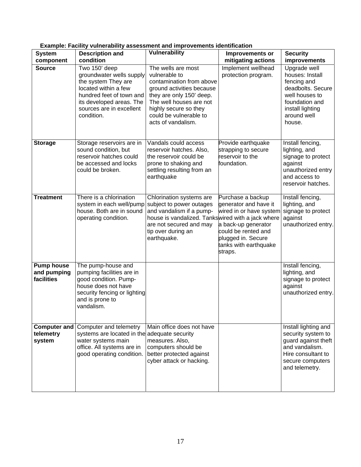| <b>System</b><br>component                     | <b>Description and</b><br>condition                                                                                                                                                        | <b>Vulnerability</b>                                                                                                                                                                                                         | Improvements or<br>mitigating actions                                                                                                                                         | <b>Security</b><br>improvements                                                                                                                      |
|------------------------------------------------|--------------------------------------------------------------------------------------------------------------------------------------------------------------------------------------------|------------------------------------------------------------------------------------------------------------------------------------------------------------------------------------------------------------------------------|-------------------------------------------------------------------------------------------------------------------------------------------------------------------------------|------------------------------------------------------------------------------------------------------------------------------------------------------|
| <b>Source</b>                                  | Two 150' deep<br>groundwater wells supply<br>the system They are<br>located within a few<br>hundred feet of town and<br>its developed areas. The<br>sources are in excellent<br>condition. | The wells are most<br>vulnerable to<br>contamination from above<br>ground activities because<br>they are only 150' deep.<br>The well houses are not<br>highly secure so they<br>could be vulnerable to<br>acts of vandalism. | Implement wellhead<br>protection program.                                                                                                                                     | Upgrade well<br>houses: Install<br>fencing and<br>deadbolts. Secure<br>well houses to<br>foundation and<br>install lighting<br>around well<br>house. |
| <b>Storage</b>                                 | Storage reservoirs are in<br>sound condition, but<br>reservoir hatches could<br>be accessed and locks<br>could be broken.                                                                  | Vandals could access<br>reservoir hatches. Also,<br>the reservoir could be<br>prone to shaking and<br>settling resulting from an<br>earthquake                                                                               | Provide earthquake<br>strapping to secure<br>reservoir to the<br>foundation.                                                                                                  | Install fencing,<br>lighting, and<br>signage to protect<br>against<br>unauthorized entry<br>and access to<br>reservoir hatches.                      |
| <b>Treatment</b>                               | There is a chlorination<br>system in each well/pump<br>house. Both are in sound<br>operating condition.                                                                                    | Chlorination systems are<br>subject to power outages<br>and vandalism if a pump-<br>house is vandalized. Tankswired with a jack where<br>are not secured and may<br>tip over during an<br>earthquake.                        | Purchase a backup<br>generator and have it<br>wired in or have system<br>a back-up generator<br>could be rented and<br>plugged in. Secure<br>tanks with earthquake<br>straps. | Install fencing,<br>lighting, and<br>signage to protect<br>against<br>unauthorized entry.                                                            |
| <b>Pump house</b><br>and pumping<br>facilities | The pump-house and<br>pumping facilities are in<br>good condition. Pump-<br>house does not have<br>security fencing or lighting<br>and is prone to<br>vandalism.                           |                                                                                                                                                                                                                              |                                                                                                                                                                               | Install fencing,<br>lighting, and<br>signage to protect<br>against<br>unauthorized entry.                                                            |
| Computer and<br>telemetry<br>system            | Computer and telemetry<br>systems are located in the adequate security<br>water systems main<br>office. All systems are in<br>good operating condition.                                    | Main office does not have<br>measures. Also,<br>computers should be<br>better protected against<br>cyber attack or hacking.                                                                                                  |                                                                                                                                                                               | Install lighting and<br>security system to<br>guard against theft<br>and vandalism.<br>Hire consultant to<br>secure computers<br>and telemetry.      |

#### **Example: Facility vulnerability assessment and improvements identification**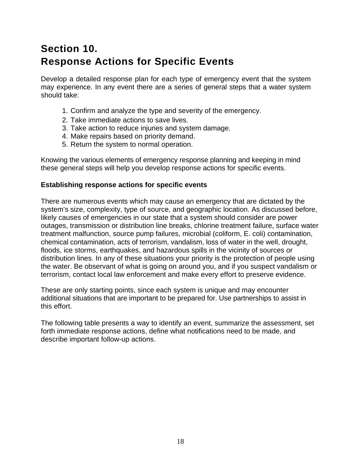# **Section 10. Response Actions for Specific Events**

Develop a detailed response plan for each type of emergency event that the system may experience. In any event there are a series of general steps that a water system should take:

- 1. Confirm and analyze the type and severity of the emergency.
- 2. Take immediate actions to save lives.
- 3. Take action to reduce injuries and system damage.
- 4. Make repairs based on priority demand.
- 5. Return the system to normal operation.

Knowing the various elements of emergency response planning and keeping in mind these general steps will help you develop response actions for specific events.

#### **Establishing response actions for specific events**

There are numerous events which may cause an emergency that are dictated by the system's size, complexity, type of source, and geographic location. As discussed before, likely causes of emergencies in our state that a system should consider are power outages, transmission or distribution line breaks, chlorine treatment failure, surface water treatment malfunction, source pump failures, microbial (coliform, E. coli) contamination, chemical contamination, acts of terrorism, vandalism, loss of water in the well, drought, floods, ice storms, earthquakes, and hazardous spills in the vicinity of sources or distribution lines. In any of these situations your priority is the protection of people using the water. Be observant of what is going on around you, and if you suspect vandalism or terrorism, contact local law enforcement and make every effort to preserve evidence.

These are only starting points, since each system is unique and may encounter additional situations that are important to be prepared for. Use partnerships to assist in this effort.

The following table presents a way to identify an event, summarize the assessment, set forth immediate response actions, define what notifications need to be made, and describe important follow-up actions.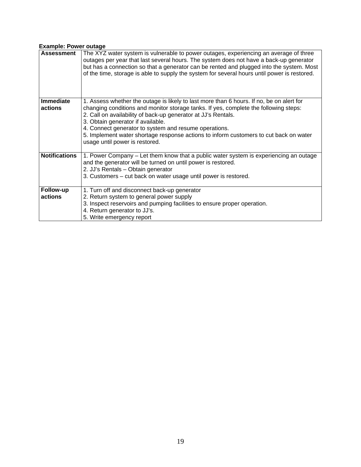#### **Example: Power outage**

| <b>Assessment</b>           | The XYZ water system is vulnerable to power outages, experiencing an average of three<br>outages per year that last several hours. The system does not have a back-up generator<br>but has a connection so that a generator can be rented and plugged into the system. Most<br>of the time, storage is able to supply the system for several hours until power is restored.                                                                                                |
|-----------------------------|----------------------------------------------------------------------------------------------------------------------------------------------------------------------------------------------------------------------------------------------------------------------------------------------------------------------------------------------------------------------------------------------------------------------------------------------------------------------------|
| <b>Immediate</b><br>actions | 1. Assess whether the outage is likely to last more than 6 hours. If no, be on alert for<br>changing conditions and monitor storage tanks. If yes, complete the following steps:<br>2. Call on availability of back-up generator at JJ's Rentals.<br>3. Obtain generator if available.<br>4. Connect generator to system and resume operations.<br>5. Implement water shortage response actions to inform customers to cut back on water<br>usage until power is restored. |
| <b>Notifications</b>        | 1. Power Company – Let them know that a public water system is experiencing an outage<br>and the generator will be turned on until power is restored.<br>2. JJ's Rentals - Obtain generator<br>3. Customers – cut back on water usage until power is restored.                                                                                                                                                                                                             |
| Follow-up                   | 1. Turn off and disconnect back-up generator                                                                                                                                                                                                                                                                                                                                                                                                                               |
| actions                     | 2. Return system to general power supply                                                                                                                                                                                                                                                                                                                                                                                                                                   |
|                             | 3. Inspect reservoirs and pumping facilities to ensure proper operation.<br>4. Return generator to JJ's.                                                                                                                                                                                                                                                                                                                                                                   |
|                             | 5. Write emergency report                                                                                                                                                                                                                                                                                                                                                                                                                                                  |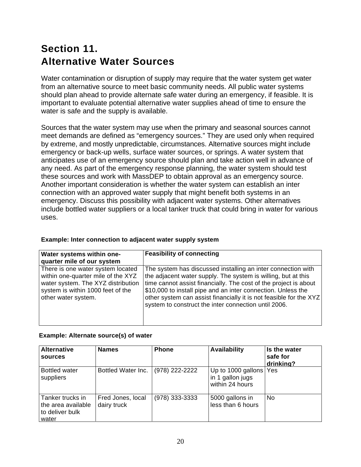# **Section 11. Alternative Water Sources**

Water contamination or disruption of supply may require that the water system get water from an alternative source to meet basic community needs. All public water systems should plan ahead to provide alternate safe water during an emergency, if feasible. It is important to evaluate potential alternative water supplies ahead of time to ensure the water is safe and the supply is available.

Sources that the water system may use when the primary and seasonal sources cannot meet demands are defined as "emergency sources." They are used only when required by extreme, and mostly unpredictable, circumstances. Alternative sources might include emergency or back-up wells, surface water sources, or springs. A water system that anticipates use of an emergency source should plan and take action well in advance of any need. As part of the emergency response planning, the water system should test these sources and work with MassDEP to obtain approval as an emergency source. Another important consideration is whether the water system can establish an inter connection with an approved water supply that might benefit both systems in an emergency. Discuss this possibility with adjacent water systems. Other alternatives include bottled water suppliers or a local tanker truck that could bring in water for various uses.

| Water systems within one-<br>quarter mile of our system                                                                                                                   | <b>Feasibility of connecting</b>                                                                                                                                                                                                                                                                                                                                                                |
|---------------------------------------------------------------------------------------------------------------------------------------------------------------------------|-------------------------------------------------------------------------------------------------------------------------------------------------------------------------------------------------------------------------------------------------------------------------------------------------------------------------------------------------------------------------------------------------|
| There is one water system located<br>within one-quarter mile of the XYZ<br>water system. The XYZ distribution<br>system is within 1000 feet of the<br>other water system. | The system has discussed installing an inter connection with<br>the adjacent water supply. The system is willing, but at this<br>time cannot assist financially. The cost of the project is about<br>\$10,000 to install pipe and an inter connection. Unless the<br>other system can assist financially it is not feasible for the XYZ<br>system to construct the inter connection until 2006. |

#### **Example: Inter connection to adjacent water supply system**

#### **Example: Alternate source(s) of water**

| <b>Alternative</b><br>sources                                      | <b>Names</b>                     | <b>Phone</b>     | <b>Availability</b>                                       | Is the water<br>safe for<br>drinking? |
|--------------------------------------------------------------------|----------------------------------|------------------|-----------------------------------------------------------|---------------------------------------|
| <b>Bottled water</b><br>suppliers                                  | Bottled Water Inc.               | (978) 222-2222   | Up to 1000 gallons<br>in 1 gallon jugs<br>within 24 hours | Yes                                   |
| Tanker trucks in<br>the area available<br>to deliver bulk<br>water | Fred Jones, local<br>dairy truck | $(978)$ 333-3333 | 5000 gallons in<br>less than 6 hours                      | No                                    |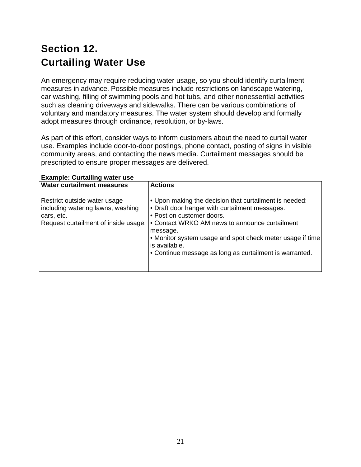# **Section 12. Curtailing Water Use**

An emergency may require reducing water usage, so you should identify curtailment measures in advance. Possible measures include restrictions on landscape watering, car washing, filling of swimming pools and hot tubs, and other nonessential activities such as cleaning driveways and sidewalks. There can be various combinations of voluntary and mandatory measures. The water system should develop and formally adopt measures through ordinance, resolution, or by-laws.

As part of this effort, consider ways to inform customers about the need to curtail water use. Examples include door-to-door postings, phone contact, posting of signs in visible community areas, and contacting the news media. Curtailment messages should be prescripted to ensure proper messages are delivered.

| <b>Water curtailment measures</b>                                                                                       | <b>Actions</b>                                                                                                                                                                                                                                                                                                                               |
|-------------------------------------------------------------------------------------------------------------------------|----------------------------------------------------------------------------------------------------------------------------------------------------------------------------------------------------------------------------------------------------------------------------------------------------------------------------------------------|
| Restrict outside water usage<br>including watering lawns, washing<br>cars, etc.<br>Request curtailment of inside usage. | . Upon making the decision that curtailment is needed:<br>• Draft door hanger with curtailment messages.<br>• Post on customer doors.<br>• Contact WRKO AM news to announce curtailment<br>message.<br>• Monitor system usage and spot check meter usage if time<br>is available.<br>• Continue message as long as curtailment is warranted. |

## **Example: Curtailing water use**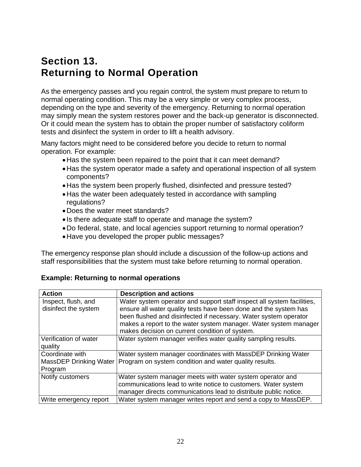# **Section 13. Returning to Normal Operation**

As the emergency passes and you regain control, the system must prepare to return to normal operating condition. This may be a very simple or very complex process, depending on the type and severity of the emergency. Returning to normal operation may simply mean the system restores power and the back-up generator is disconnected. Or it could mean the system has to obtain the proper number of satisfactory coliform tests and disinfect the system in order to lift a health advisory.

Many factors might need to be considered before you decide to return to normal operation. For example:

- Has the system been repaired to the point that it can meet demand?
- Has the system operator made a safety and operational inspection of all system components?
- Has the system been properly flushed, disinfected and pressure tested?
- Has the water been adequately tested in accordance with sampling regulations?
- Does the water meet standards?
- Is there adequate staff to operate and manage the system?
- Do federal, state, and local agencies support returning to normal operation?
- Have you developed the proper public messages?

The emergency response plan should include a discussion of the follow-up actions and staff responsibilities that the system must take before returning to normal operation.

| <b>Action</b>          | <b>Description and actions</b>                                                                                                                                                                                                                             |
|------------------------|------------------------------------------------------------------------------------------------------------------------------------------------------------------------------------------------------------------------------------------------------------|
| Inspect, flush, and    | Water system operator and support staff inspect all system facilities,                                                                                                                                                                                     |
| disinfect the system   | ensure all water quality tests have been done and the system has<br>been flushed and disinfected if necessary. Water system operator<br>makes a report to the water system manager. Water system manager<br>makes decision on current condition of system. |
| Verification of water  | Water system manager verifies water quality sampling results.                                                                                                                                                                                              |
| quality                |                                                                                                                                                                                                                                                            |
| Coordinate with        | Water system manager coordinates with MassDEP Drinking Water                                                                                                                                                                                               |
| MassDEP Drinking Water | Program on system condition and water quality results.                                                                                                                                                                                                     |
| Program                |                                                                                                                                                                                                                                                            |
| Notify customers       | Water system manager meets with water system operator and                                                                                                                                                                                                  |
|                        | communications lead to write notice to customers. Water system                                                                                                                                                                                             |
|                        | manager directs communications lead to distribute public notice.                                                                                                                                                                                           |
| Write emergency report | Water system manager writes report and send a copy to MassDEP.                                                                                                                                                                                             |

## **Example: Returning to normal operations**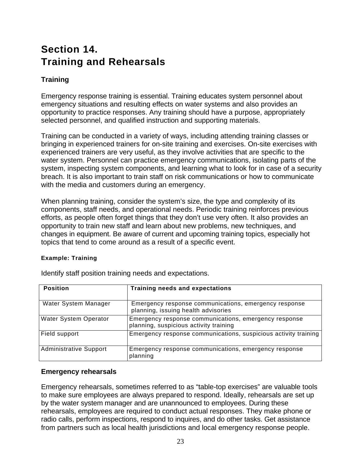# **Section 14. Training and Rehearsals**

# **Training**

Emergency response training is essential. Training educates system personnel about emergency situations and resulting effects on water systems and also provides an opportunity to practice responses. Any training should have a purpose, appropriately selected personnel, and qualified instruction and supporting materials.

Training can be conducted in a variety of ways, including attending training classes or bringing in experienced trainers for on-site training and exercises. On-site exercises with experienced trainers are very useful, as they involve activities that are specific to the water system. Personnel can practice emergency communications, isolating parts of the system, inspecting system components, and learning what to look for in case of a security breach. It is also important to train staff on risk communications or how to communicate with the media and customers during an emergency.

When planning training, consider the system's size, the type and complexity of its components, staff needs, and operational needs. Periodic training reinforces previous efforts, as people often forget things that they don't use very often. It also provides an opportunity to train new staff and learn about new problems, new techniques, and changes in equipment. Be aware of current and upcoming training topics, especially hot topics that tend to come around as a result of a specific event.

## **Example: Training**

| <b>Position</b>               | Training needs and expectations                                                                 |
|-------------------------------|-------------------------------------------------------------------------------------------------|
| Water System Manager          | Emergency response communications, emergency response<br>planning, issuing health advisories    |
| Water System Operator         | Emergency response communications, emergency response<br>planning, suspicious activity training |
| Field support                 | Emergency response communications, suspicious activity training                                 |
| <b>Administrative Support</b> | Emergency response communications, emergency response<br>planning                               |

Identify staff position training needs and expectations.

## **Emergency rehearsals**

Emergency rehearsals, sometimes referred to as "table-top exercises" are valuable tools to make sure employees are always prepared to respond. Ideally, rehearsals are set up by the water system manager and are unannounced to employees. During these rehearsals, employees are required to conduct actual responses. They make phone or radio calls, perform inspections, respond to inquires, and do other tasks. Get assistance from partners such as local health jurisdictions and local emergency response people.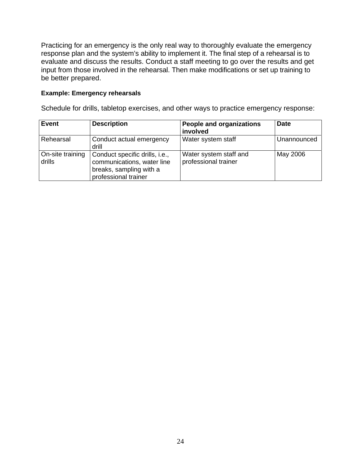Practicing for an emergency is the only real way to thoroughly evaluate the emergency response plan and the system's ability to implement it. The final step of a rehearsal is to evaluate and discuss the results. Conduct a staff meeting to go over the results and get input from those involved in the rehearsal. Then make modifications or set up training to be better prepared.

## **Example: Emergency rehearsals**

Schedule for drills, tabletop exercises, and other ways to practice emergency response:

| <b>Event</b>               | <b>Description</b>                                                                                              | <b>People and organizations</b><br>involved    | <b>Date</b> |
|----------------------------|-----------------------------------------------------------------------------------------------------------------|------------------------------------------------|-------------|
| Rehearsal                  | Conduct actual emergency<br>drill                                                                               | Water system staff                             | Unannounced |
| On-site training<br>drills | Conduct specific drills, i.e.,<br>communications, water line<br>breaks, sampling with a<br>professional trainer | Water system staff and<br>professional trainer | May 2006    |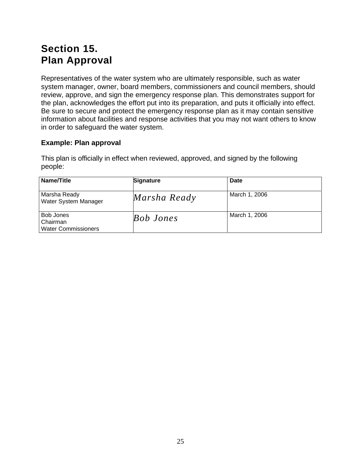# **Section 15. Plan Approval**

Representatives of the water system who are ultimately responsible, such as water system manager, owner, board members, commissioners and council members, should review, approve, and sign the emergency response plan. This demonstrates support for the plan, acknowledges the effort put into its preparation, and puts it officially into effect. Be sure to secure and protect the emergency response plan as it may contain sensitive information about facilities and response activities that you may not want others to know in order to safeguard the water system.

## **Example: Plan approval**

This plan is officially in effect when reviewed, approved, and signed by the following people:

| Name/Title                                          | <b>Signature</b> | Date          |
|-----------------------------------------------------|------------------|---------------|
| Marsha Ready<br>Water System Manager                | Marsha Ready     | March 1, 2006 |
| Bob Jones<br>Chairman<br><b>Water Commissioners</b> | <b>Bob Jones</b> | March 1, 2006 |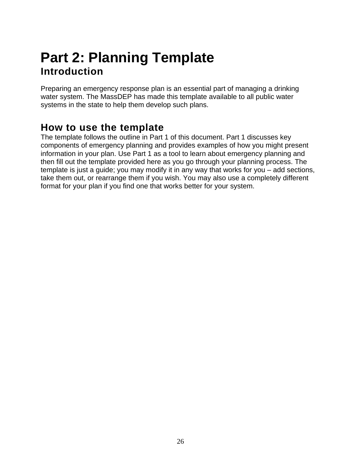# **Part 2: Planning Template Introduction**

Preparing an emergency response plan is an essential part of managing a drinking water system. The MassDEP has made this template available to all public water systems in the state to help them develop such plans.

# **How to use the template**

The template follows the outline in Part 1 of this document. Part 1 discusses key components of emergency planning and provides examples of how you might present information in your plan. Use Part 1 as a tool to learn about emergency planning and then fill out the template provided here as you go through your planning process. The template is just a guide; you may modify it in any way that works for you – add sections, take them out, or rearrange them if you wish. You may also use a completely different format for your plan if you find one that works better for your system.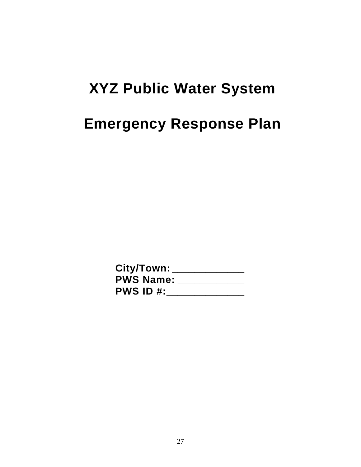# **XYZ Public Water System**

# **Emergency Response Plan**

**City/Town: \_\_\_\_\_\_\_\_\_\_\_\_\_ PWS Name: \_\_\_\_\_\_\_\_\_\_\_\_ PWS ID #:\_\_\_\_\_\_\_\_\_\_\_\_\_\_**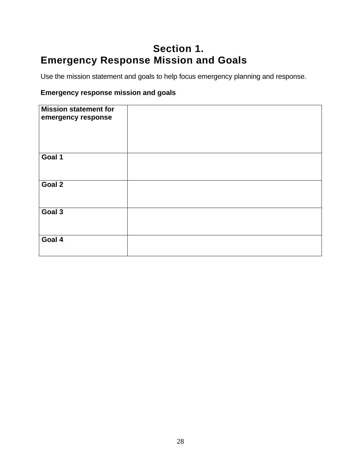# **Section 1. Emergency Response Mission and Goals**

Use the mission statement and goals to help focus emergency planning and response.

# **Emergency response mission and goals**

| <b>Mission statement for</b><br>emergency response |  |
|----------------------------------------------------|--|
| Goal 1                                             |  |
| Goal 2                                             |  |
| Goal 3                                             |  |
| Goal 4                                             |  |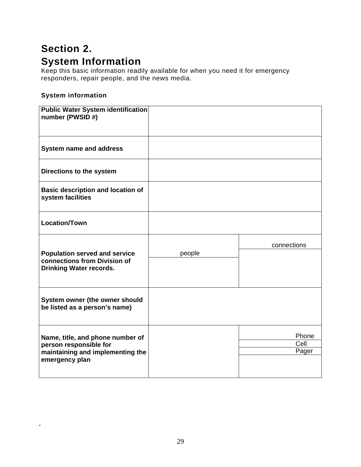# **Section 2. System Information**

Keep this basic information readily available for when you need it for emergency responders, repair people, and the news media.

## **System information**

**.** 

| <b>Public Water System identification</b><br>number (PWSID#)                                           |        |               |
|--------------------------------------------------------------------------------------------------------|--------|---------------|
| <b>System name and address</b>                                                                         |        |               |
| Directions to the system                                                                               |        |               |
| <b>Basic description and location of</b><br>system facilities                                          |        |               |
| <b>Location/Town</b>                                                                                   |        |               |
|                                                                                                        |        | connections   |
| <b>Population served and service</b><br>connections from Division of<br><b>Drinking Water records.</b> | people |               |
| System owner (the owner should<br>be listed as a person's name)                                        |        |               |
| Name, title, and phone number of                                                                       |        | Phone         |
| person responsible for<br>maintaining and implementing the                                             |        | Cell<br>Pager |
| emergency plan                                                                                         |        |               |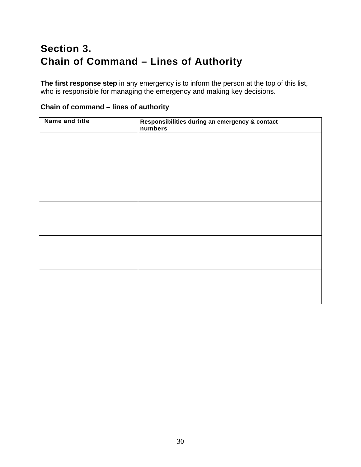# **Section 3. Chain of Command – Lines of Authority**

**The first response step** in any emergency is to inform the person at the top of this list, who is responsible for managing the emergency and making key decisions.

## **Chain of command – lines of authority**

| Name and title | Responsibilities during an emergency & contact<br>numbers |
|----------------|-----------------------------------------------------------|
|                |                                                           |
|                |                                                           |
|                |                                                           |
|                |                                                           |
|                |                                                           |
|                |                                                           |
|                |                                                           |
|                |                                                           |
|                |                                                           |
|                |                                                           |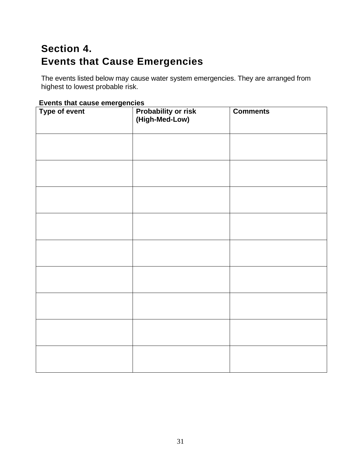# **Section 4. Events that Cause Emergencies**

The events listed below may cause water system emergencies. They are arranged from highest to lowest probable risk.

## **Events that cause emergencies**

| Type of event | <b>Probability or risk</b><br>(High-Med-Low) | <b>Comments</b> |
|---------------|----------------------------------------------|-----------------|
|               |                                              |                 |
|               |                                              |                 |
|               |                                              |                 |
|               |                                              |                 |
|               |                                              |                 |
|               |                                              |                 |
|               |                                              |                 |
|               |                                              |                 |
|               |                                              |                 |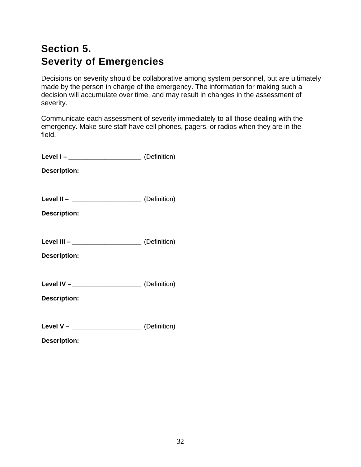# **Section 5. Severity of Emergencies**

Decisions on severity should be collaborative among system personnel, but are ultimately made by the person in charge of the emergency. The information for making such a decision will accumulate over time, and may result in changes in the assessment of severity.

Communicate each assessment of severity immediately to all those dealing with the emergency. Make sure staff have cell phones, pagers, or radios when they are in the field.

| <b>Description:</b>                                                              |  |
|----------------------------------------------------------------------------------|--|
| <b>Level II - _______________________</b> (Definition)<br><b>Description:</b>    |  |
| <b>Level III - _________________________</b> (Definition)<br><b>Description:</b> |  |
| Level IV -__________________________________ (Definition)<br><b>Description:</b> |  |
| <b>Level V - _________________________</b> (Definition)<br><b>Description:</b>   |  |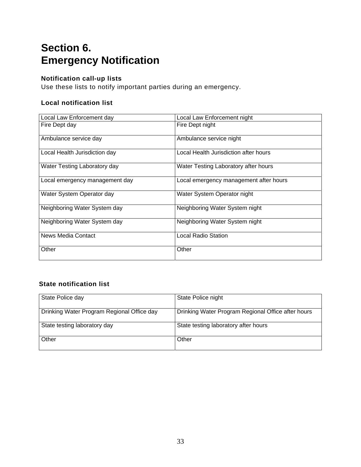# **Section 6. Emergency Notification**

## **Notification call-up lists**

Use these lists to notify important parties during an emergency.

#### **Local notification list**

| Local Law Enforcement day      | Local Law Enforcement night            |
|--------------------------------|----------------------------------------|
| Fire Dept day                  | Fire Dept night                        |
| Ambulance service day          | Ambulance service night                |
| Local Health Jurisdiction day  | Local Health Jurisdiction after hours  |
| Water Testing Laboratory day   | Water Testing Laboratory after hours   |
| Local emergency management day | Local emergency management after hours |
| Water System Operator day      | Water System Operator night            |
| Neighboring Water System day   | Neighboring Water System night         |
| Neighboring Water System day   | Neighboring Water System night         |
| News Media Contact             | Local Radio Station                    |
| Other                          | Other                                  |

# **State notification list**

| State Police day                           | State Police night                                 |
|--------------------------------------------|----------------------------------------------------|
| Drinking Water Program Regional Office day | Drinking Water Program Regional Office after hours |
| State testing laboratory day               | State testing laboratory after hours               |
| Other                                      | Other                                              |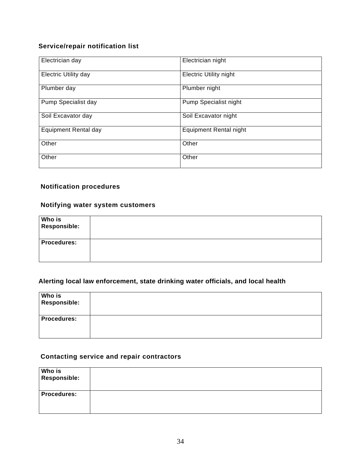## **Service/repair notification list**

| Electrician day             | Electrician night             |
|-----------------------------|-------------------------------|
| Electric Utility day        | <b>Electric Utility night</b> |
| Plumber day                 | Plumber night                 |
| Pump Specialist day         | Pump Specialist night         |
| Soil Excavator day          | Soil Excavator night          |
| <b>Equipment Rental day</b> | <b>Equipment Rental night</b> |
| Other                       | Other                         |
| Other                       | Other                         |

## **Notification procedures**

### **Notifying water system customers**

| Who is<br>Responsible: |  |
|------------------------|--|
| <b>Procedures:</b>     |  |

## **Alerting local law enforcement, state drinking water officials, and local health**

| Who is<br>Responsible: |  |
|------------------------|--|
| <b>Procedures:</b>     |  |

## **Contacting service and repair contractors**

| Who is<br>Responsible: |  |
|------------------------|--|
| <b>Procedures:</b>     |  |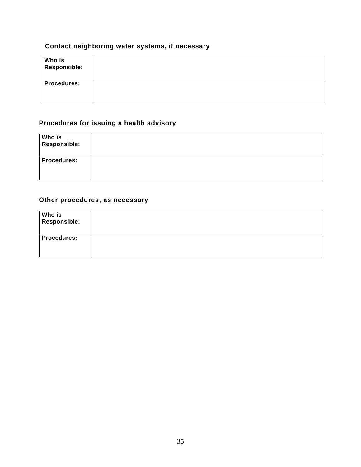## **Contact neighboring water systems, if necessary**

| Who is<br>Responsible: |  |
|------------------------|--|
| <b>Procedures:</b>     |  |

## **Procedures for issuing a health advisory**

| Who is<br>Responsible: |  |
|------------------------|--|
| <b>Procedures:</b>     |  |

## **Other procedures, as necessary**

| Who is<br>Responsible: |  |
|------------------------|--|
| <b>Procedures:</b>     |  |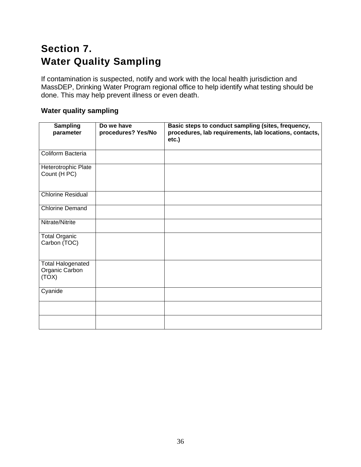# **Section 7. Water Quality Sampling**

If contamination is suspected, notify and work with the local health jurisdiction and MassDEP, Drinking Water Program regional office to help identify what testing should be done. This may help prevent illness or even death.

## **Water quality sampling**

| <b>Sampling</b><br>parameter                        | Do we have<br>procedures? Yes/No | Basic steps to conduct sampling (sites, frequency,<br>procedures, lab requirements, lab locations, contacts,<br>etc.) |
|-----------------------------------------------------|----------------------------------|-----------------------------------------------------------------------------------------------------------------------|
|                                                     |                                  |                                                                                                                       |
| Coliform Bacteria                                   |                                  |                                                                                                                       |
| Heterotrophic Plate<br>Count (H PC)                 |                                  |                                                                                                                       |
| <b>Chlorine Residual</b>                            |                                  |                                                                                                                       |
| <b>Chlorine Demand</b>                              |                                  |                                                                                                                       |
| Nitrate/Nitrite                                     |                                  |                                                                                                                       |
| <b>Total Organic</b><br>Carbon (TOC)                |                                  |                                                                                                                       |
| <b>Total Halogenated</b><br>Organic Carbon<br>(TOX) |                                  |                                                                                                                       |
| Cyanide                                             |                                  |                                                                                                                       |
|                                                     |                                  |                                                                                                                       |
|                                                     |                                  |                                                                                                                       |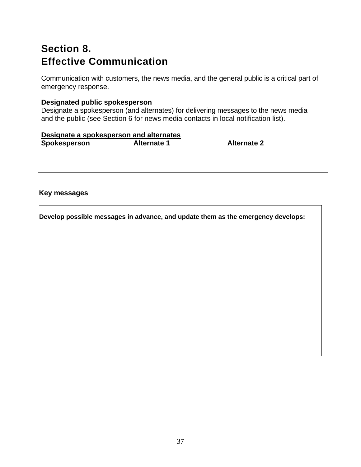# **Section 8. Effective Communication**

Communication with customers, the news media, and the general public is a critical part of emergency response.

## **Designated public spokesperson**

Designate a spokesperson (and alternates) for delivering messages to the news media and the public (see Section 6 for news media contacts in local notification list).

**Designate a spokesperson and alternates Spokesperson** Alternate 1 Alternate 2

#### **Key messages**

**Develop possible messages in advance, and update them as the emergency develops:**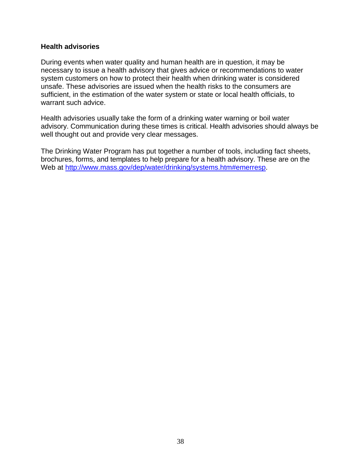### **Health advisories**

During events when water quality and human health are in question, it may be necessary to issue a health advisory that gives advice or recommendations to water system customers on how to protect their health when drinking water is considered unsafe. These advisories are issued when the health risks to the consumers are sufficient, in the estimation of the water system or state or local health officials, to warrant such advice.

Health advisories usually take the form of a drinking water warning or boil water advisory. Communication during these times is critical. Health advisories should always be well thought out and provide very clear messages.

The Drinking Water Program has put together a number of tools, including fact sheets, brochures, forms, and templates to help prepare for a health advisory. These are on the Web at http://www.mass.gov/dep/water/drinking/systems.htm#emerresp.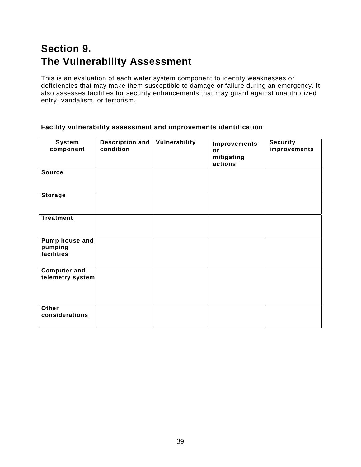# **Section 9. The Vulnerability Assessment**

This is an evaluation of each water system component to identify weaknesses or deficiencies that may make them susceptible to damage or failure during an emergency. It also assesses facilities for security enhancements that may guard against unauthorized entry, vandalism, or terrorism.

| <b>System</b><br>component              | Description and<br>condition | Vulnerability | Improvements<br>or<br>mitigating<br>actions | <b>Security</b><br>improvements |
|-----------------------------------------|------------------------------|---------------|---------------------------------------------|---------------------------------|
| <b>Source</b>                           |                              |               |                                             |                                 |
| <b>Storage</b>                          |                              |               |                                             |                                 |
| <b>Treatment</b>                        |                              |               |                                             |                                 |
| Pump house and<br>pumping<br>facilities |                              |               |                                             |                                 |
| <b>Computer and</b><br>telemetry system |                              |               |                                             |                                 |
| Other<br>considerations                 |                              |               |                                             |                                 |

#### **Facility vulnerability assessment and improvements identification**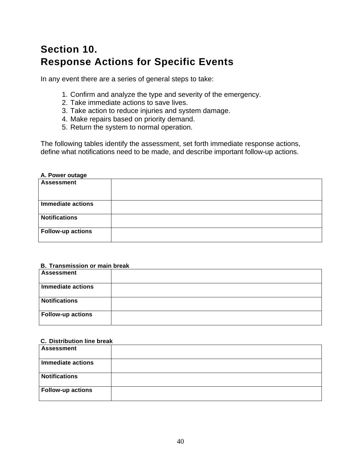# **Section 10. Response Actions for Specific Events**

In any event there are a series of general steps to take:

- 1. Confirm and analyze the type and severity of the emergency.
- 2. Take immediate actions to save lives.
- 3. Take action to reduce injuries and system damage.
- 4. Make repairs based on priority demand.
- 5. Return the system to normal operation.

The following tables identify the assessment, set forth immediate response actions, define what notifications need to be made, and describe important follow-up actions.

#### **A. Power outage**

| <b>Assessment</b>        |  |
|--------------------------|--|
| Immediate actions        |  |
| <b>Notifications</b>     |  |
| <b>Follow-up actions</b> |  |

#### **B. Transmission or main break**

| <b>Assessment</b>        |  |
|--------------------------|--|
| <b>Immediate actions</b> |  |
| <b>Notifications</b>     |  |
| <b>Follow-up actions</b> |  |

### **C. Distribution line break**

| <b>Assessment</b>        |  |
|--------------------------|--|
| <b>Immediate actions</b> |  |
| <b>Notifications</b>     |  |
| <b>Follow-up actions</b> |  |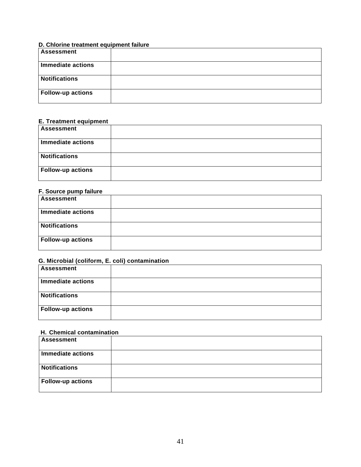#### **D. Chlorine treatment equipment failure**

| <b>Assessment</b>        |  |
|--------------------------|--|
| Immediate actions        |  |
| <b>Notifications</b>     |  |
| <b>Follow-up actions</b> |  |

## **E. Treatment equipment**

| <b>Assessment</b>        |  |
|--------------------------|--|
| <b>Immediate actions</b> |  |
| <b>Notifications</b>     |  |
| <b>Follow-up actions</b> |  |

#### **F. Source pump failure**

| <b>Assessment</b>        |  |
|--------------------------|--|
| <b>Immediate actions</b> |  |
| <b>Notifications</b>     |  |
| <b>Follow-up actions</b> |  |

## **G. Microbial (coliform, E. coli) contamination**

| <b>Assessment</b>        |  |
|--------------------------|--|
| Immediate actions        |  |
| Notifications            |  |
| <b>Follow-up actions</b> |  |

#### **H. Chemical contamination**

| <b>Assessment</b>        |  |
|--------------------------|--|
| <b>Immediate actions</b> |  |
| <b>Notifications</b>     |  |
| <b>Follow-up actions</b> |  |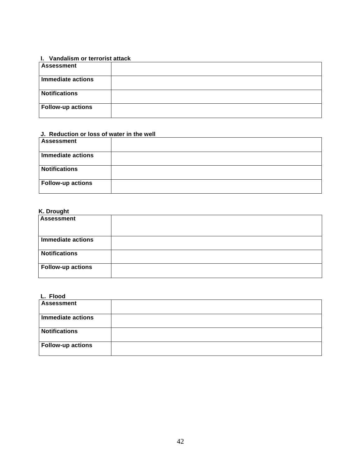#### **I. Vandalism or terrorist attack**

| <b>Assessment</b>        |  |
|--------------------------|--|
| <b>Immediate actions</b> |  |
| <b>Notifications</b>     |  |
| <b>Follow-up actions</b> |  |

## **J. Reduction or loss of water in the well**

| <b>Assessment</b>        |  |
|--------------------------|--|
| <b>Immediate actions</b> |  |
| <b>Notifications</b>     |  |
| <b>Follow-up actions</b> |  |

### **K. Drought**

## **L. Flood**

| <b>Assessment</b>        |  |
|--------------------------|--|
| <b>Immediate actions</b> |  |
| <b>Notifications</b>     |  |
| <b>Follow-up actions</b> |  |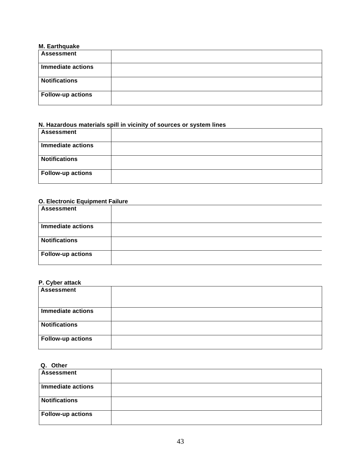### **M. Earthquake**

| <b>Assessment</b>        |  |
|--------------------------|--|
| <b>Immediate actions</b> |  |
| <b>Notifications</b>     |  |
| <b>Follow-up actions</b> |  |

## **N. Hazardous materials spill in vicinity of sources or system lines**

| <b>Assessment</b>        |  |
|--------------------------|--|
| <b>Immediate actions</b> |  |
| <b>Notifications</b>     |  |
| <b>Follow-up actions</b> |  |

#### **O. Electronic Equipment Failure**

| <b>Assessment</b>        |  |
|--------------------------|--|
|                          |  |
| <b>Immediate actions</b> |  |
| <b>Notifications</b>     |  |
| <b>Follow-up actions</b> |  |

#### **P. Cyber attack**

| <b>Assessment</b>        |  |
|--------------------------|--|
|                          |  |
| <b>Immediate actions</b> |  |
|                          |  |
| <b>Notifications</b>     |  |
| <b>Follow-up actions</b> |  |

## **Q. Other**

| <b>Assessment</b>        |  |
|--------------------------|--|
| <b>Immediate actions</b> |  |
| <b>Notifications</b>     |  |
| <b>Follow-up actions</b> |  |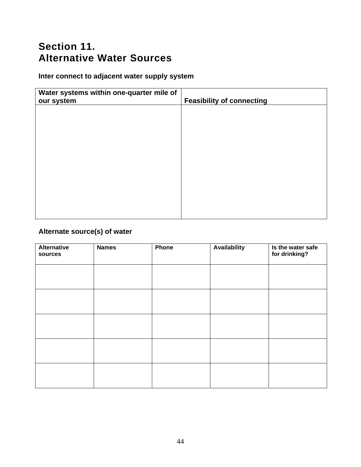# **Section 11. Alternative Water Sources**

**Inter connect to adjacent water supply system** 

| Water systems within one-quarter mile of<br>our system | <b>Feasibility of connecting</b> |
|--------------------------------------------------------|----------------------------------|
|                                                        |                                  |
|                                                        |                                  |
|                                                        |                                  |
|                                                        |                                  |
|                                                        |                                  |
|                                                        |                                  |
|                                                        |                                  |

# **Alternate source(s) of water**

| <b>Alternative</b><br>sources | <b>Names</b> | Phone | <b>Availability</b> | Is the water safe<br>for drinking? |
|-------------------------------|--------------|-------|---------------------|------------------------------------|
|                               |              |       |                     |                                    |
|                               |              |       |                     |                                    |
|                               |              |       |                     |                                    |
|                               |              |       |                     |                                    |
|                               |              |       |                     |                                    |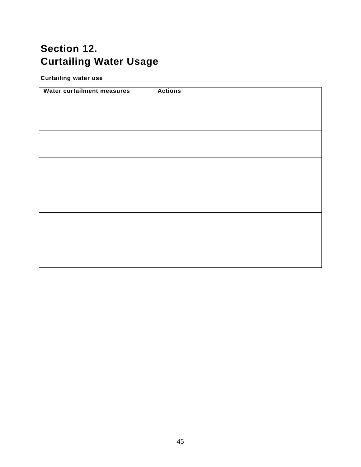# **Section 12. Curtailing Water Usage**

## **Curtailing water use**

| Water curtailment measures | <b>Actions</b> |
|----------------------------|----------------|
|                            |                |
|                            |                |
|                            |                |
|                            |                |
|                            |                |
|                            |                |
|                            |                |
|                            |                |
|                            |                |
|                            |                |
|                            |                |
|                            |                |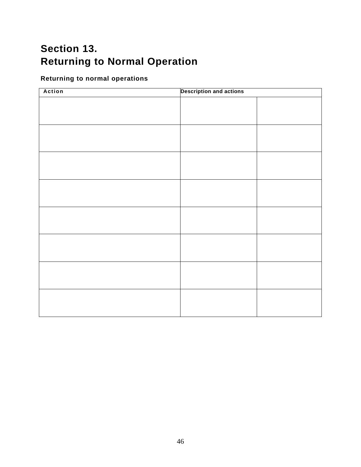# **Section 13. Returning to Normal Operation**

# **Returning to normal operations**

| Action | <b>Description and actions</b> |  |  |
|--------|--------------------------------|--|--|
|        |                                |  |  |
|        |                                |  |  |
|        |                                |  |  |
|        |                                |  |  |
|        |                                |  |  |
|        |                                |  |  |
|        |                                |  |  |
|        |                                |  |  |
|        |                                |  |  |
|        |                                |  |  |
|        |                                |  |  |
|        |                                |  |  |
|        |                                |  |  |
|        |                                |  |  |
|        |                                |  |  |
|        |                                |  |  |
|        |                                |  |  |
|        |                                |  |  |
|        |                                |  |  |
|        |                                |  |  |
|        |                                |  |  |
|        |                                |  |  |
|        |                                |  |  |
|        |                                |  |  |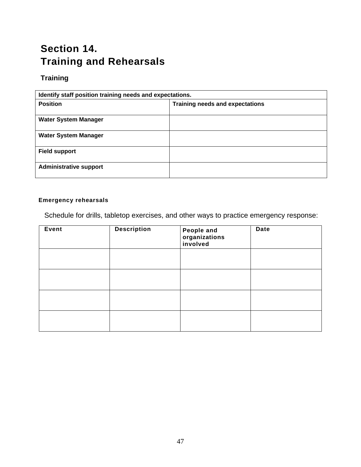# **Section 14. Training and Rehearsals**

# **Training**

| Identify staff position training needs and expectations. |                                        |  |
|----------------------------------------------------------|----------------------------------------|--|
| <b>Position</b>                                          | <b>Training needs and expectations</b> |  |
| <b>Water System Manager</b>                              |                                        |  |
| <b>Water System Manager</b>                              |                                        |  |
| <b>Field support</b>                                     |                                        |  |
| <b>Administrative support</b>                            |                                        |  |

## **Emergency rehearsals**

Schedule for drills, tabletop exercises, and other ways to practice emergency response:

| Event | <b>Description</b> | <b>People and<br/>organizations<br/>involved</b> | <b>Date</b> |
|-------|--------------------|--------------------------------------------------|-------------|
|       |                    |                                                  |             |
|       |                    |                                                  |             |
|       |                    |                                                  |             |
|       |                    |                                                  |             |